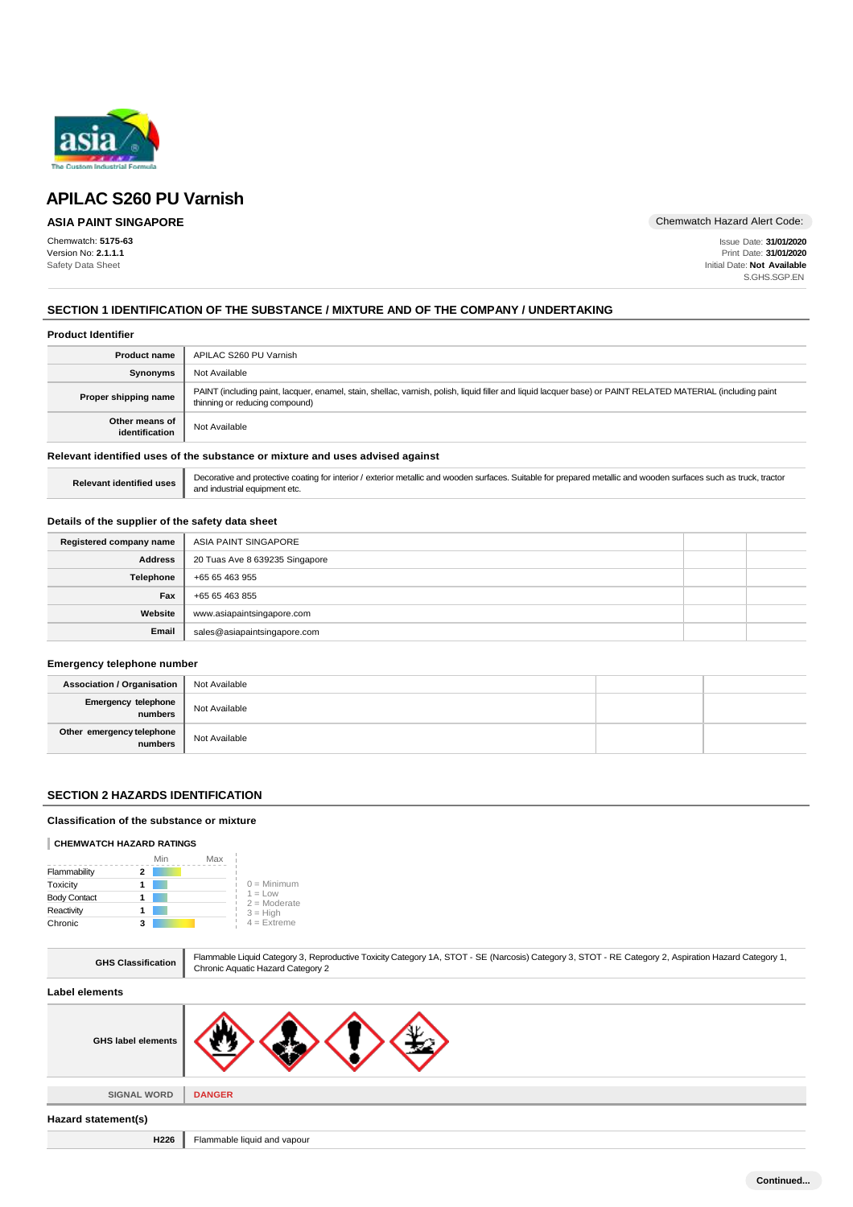

# **ASIA PAINT SINGAPORE**

Chemwatch: **5175-63** Version No: **2.1.1.1** Safety Data Sheet

Chemwatch Hazard Alert Code:

Issue Date: **31/01/2020** Print Date: **31/01/2020** Initial Date: **Not Available** S.GHS.SGP.EN

# **SECTION 1 IDENTIFICATION OF THE SUBSTANCE / MIXTURE AND OF THE COMPANY / UNDERTAKING**

| <b>Product Identifier</b>                                                     |                                                                                                                                                                                               |  |
|-------------------------------------------------------------------------------|-----------------------------------------------------------------------------------------------------------------------------------------------------------------------------------------------|--|
| <b>Product name</b>                                                           | APILAC S260 PU Varnish                                                                                                                                                                        |  |
| Synonyms                                                                      | Not Available                                                                                                                                                                                 |  |
| Proper shipping name                                                          | PAINT (including paint, lacquer, enamel, stain, shellac, varnish, polish, liquid filler and liquid lacquer base) or PAINT RELATED MATERIAL (including paint<br>thinning or reducing compound) |  |
| Other means of<br>identification                                              | Not Available                                                                                                                                                                                 |  |
| Relevant identified uses of the substance or mixture and uses advised against |                                                                                                                                                                                               |  |

# **Details of the supplier of the safety data sheet**

and industrial equipment etc.

| Registered company name | ASIA PAINT SINGAPORE           |  |
|-------------------------|--------------------------------|--|
| <b>Address</b>          | 20 Tuas Ave 8 639235 Singapore |  |
| Telephone               | +65 65 463 955                 |  |
| Fax                     | +65 65 463 855                 |  |
| Website                 | www.asiapaintsingapore.com     |  |
| Email                   | sales@asiapaintsingapore.com   |  |

Relevant identified uses **Decorative and protective coating for interior** / exterior metallic and wooden surfaces. Suitable for prepared metallic and wooden surfaces such as truck, tractor

#### **Emergency telephone number**

| <b>Association / Organisation</b>      | Not Available |  |
|----------------------------------------|---------------|--|
| Emergency telephone                    | Not Available |  |
| Other emergency telephone<br>  numbers | Not Available |  |

# **SECTION 2 HAZARDS IDENTIFICATION**

#### **Classification of the substance or mixture**

# **CHEMWATCH HAZARD RATINGS**

|                     | Min | Max |                             |
|---------------------|-----|-----|-----------------------------|
| Flammability        |     |     |                             |
| Toxicity            |     |     | $0 =$ Minimum               |
| <b>Body Contact</b> |     |     | $1 = Low$<br>$2 =$ Moderate |
| Reactivity          |     |     | $3 = High$                  |
| Chronic             |     |     | $4 =$ Extreme               |

| <b>GHS Classification</b> | Flammable Liquid Category 3, Reproductive Toxicity Category 1A, STOT - SE (Narcosis) Category 3, STOT - RE Category 2, Aspiration Hazard Category 1,<br>Chronic Aquatic Hazard Category 2 |
|---------------------------|-------------------------------------------------------------------------------------------------------------------------------------------------------------------------------------------|
| Label elements            |                                                                                                                                                                                           |
| <b>GHS label elements</b> |                                                                                                                                                                                           |
|                           |                                                                                                                                                                                           |
| <b>SIGNAL WORD</b>        | <b>DANGER</b>                                                                                                                                                                             |
| Hazard statement(s)       |                                                                                                                                                                                           |
| H226                      | Flammable liquid and vapour                                                                                                                                                               |
|                           |                                                                                                                                                                                           |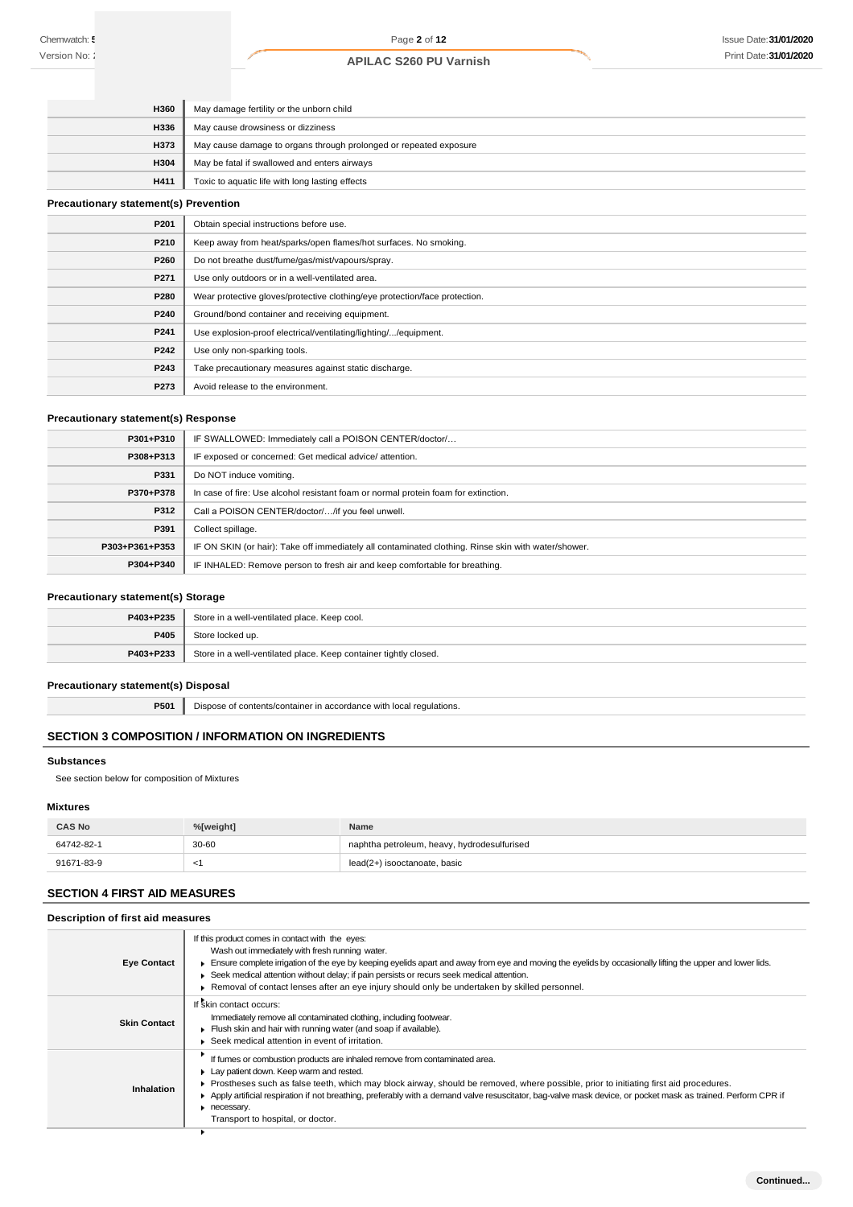| <b>H360</b> | May damage fertility or the unborn child                          |
|-------------|-------------------------------------------------------------------|
| H336        | May cause drowsiness or dizziness                                 |
| <b>H373</b> | May cause damage to organs through prolonged or repeated exposure |
| H304        | May be fatal if swallowed and enters airways                      |
| H411        | Toxic to aquatic life with long lasting effects                   |

## **Precautionary statement(s) Prevention**

| P201 | Obtain special instructions before use.                                    |
|------|----------------------------------------------------------------------------|
| P210 | Keep away from heat/sparks/open flames/hot surfaces. No smoking.           |
| P260 | Do not breathe dust/fume/gas/mist/vapours/spray.                           |
| P271 | Use only outdoors or in a well-ventilated area.                            |
| P280 | Wear protective gloves/protective clothing/eye protection/face protection. |
| P240 | Ground/bond container and receiving equipment.                             |
| P241 | Use explosion-proof electrical/ventilating/lighting//equipment.            |
| P242 | Use only non-sparking tools.                                               |
| P243 | Take precautionary measures against static discharge.                      |
| P273 | Avoid release to the environment.                                          |

# **Precautionary statement(s) Response**

| P301+P310      | IF SWALLOWED: Immediately call a POISON CENTER/doctor/                                              |
|----------------|-----------------------------------------------------------------------------------------------------|
| P308+P313      | IF exposed or concerned: Get medical advice/attention.                                              |
| P331           | Do NOT induce vomiting.                                                                             |
| P370+P378      | In case of fire: Use alcohol resistant foam or normal protein foam for extinction.                  |
| P312           | Call a POISON CENTER/doctor//if you feel unwell.                                                    |
| P391           | Collect spillage.                                                                                   |
| P303+P361+P353 | IF ON SKIN (or hair): Take off immediately all contaminated clothing. Rinse skin with water/shower. |
| P304+P340      | IF INHALED: Remove person to fresh air and keep comfortable for breathing.                          |

# **Precautionary statement(s) Storage**

| P403+P235 | Store in a well-ventilated place. Keep cool.                     |
|-----------|------------------------------------------------------------------|
| P405      | Store locked up.                                                 |
| P403+P233 | Store in a well-ventilated place. Keep container tightly closed. |

# **Precautionary statement(s) Disposal**

**P501** Dispose of contents/container in accordance with local regulations.

# **SECTION 3 COMPOSITION / INFORMATION ON INGREDIENTS**

## **Substances**

See section below for composition of Mixtures

# **Mixtures**

| <b>CAS No</b> | %[weight] | Name                                        |
|---------------|-----------|---------------------------------------------|
| 64742-82-1    | 30-60     | naphtha petroleum, heavy, hydrodesulfurised |
| 91671-83-9    | `         | lead(2+) isooctanoate, basic                |

# **SECTION 4 FIRST AID MEASURES**

# **Description of first aid measures**

| <b>Eye Contact</b>  | If this product comes in contact with the eyes:<br>Wash out immediately with fresh running water.<br>Ensure complete irrigation of the eye by keeping eyelids apart and away from eye and moving the eyelids by occasionally lifting the upper and lower lids.<br>▶ Seek medical attention without delay; if pain persists or recurs seek medical attention.<br>► Removal of contact lenses after an eye injury should only be undertaken by skilled personnel.                  |
|---------------------|----------------------------------------------------------------------------------------------------------------------------------------------------------------------------------------------------------------------------------------------------------------------------------------------------------------------------------------------------------------------------------------------------------------------------------------------------------------------------------|
| <b>Skin Contact</b> | If skin contact occurs:<br>Immediately remove all contaminated clothing, including footwear.<br>Flush skin and hair with running water (and soap if available).<br>Seek medical attention in event of irritation.                                                                                                                                                                                                                                                                |
| Inhalation          | If fumes or combustion products are inhaled remove from contaminated area.<br>Lay patient down. Keep warm and rested.<br>Prostheses such as false teeth, which may block airway, should be removed, where possible, prior to initiating first aid procedures.<br>Apply artificial respiration if not breathing, preferably with a demand valve resuscitator, bag-valve mask device, or pocket mask as trained. Perform CPR if<br>necessary.<br>Transport to hospital, or doctor. |
|                     |                                                                                                                                                                                                                                                                                                                                                                                                                                                                                  |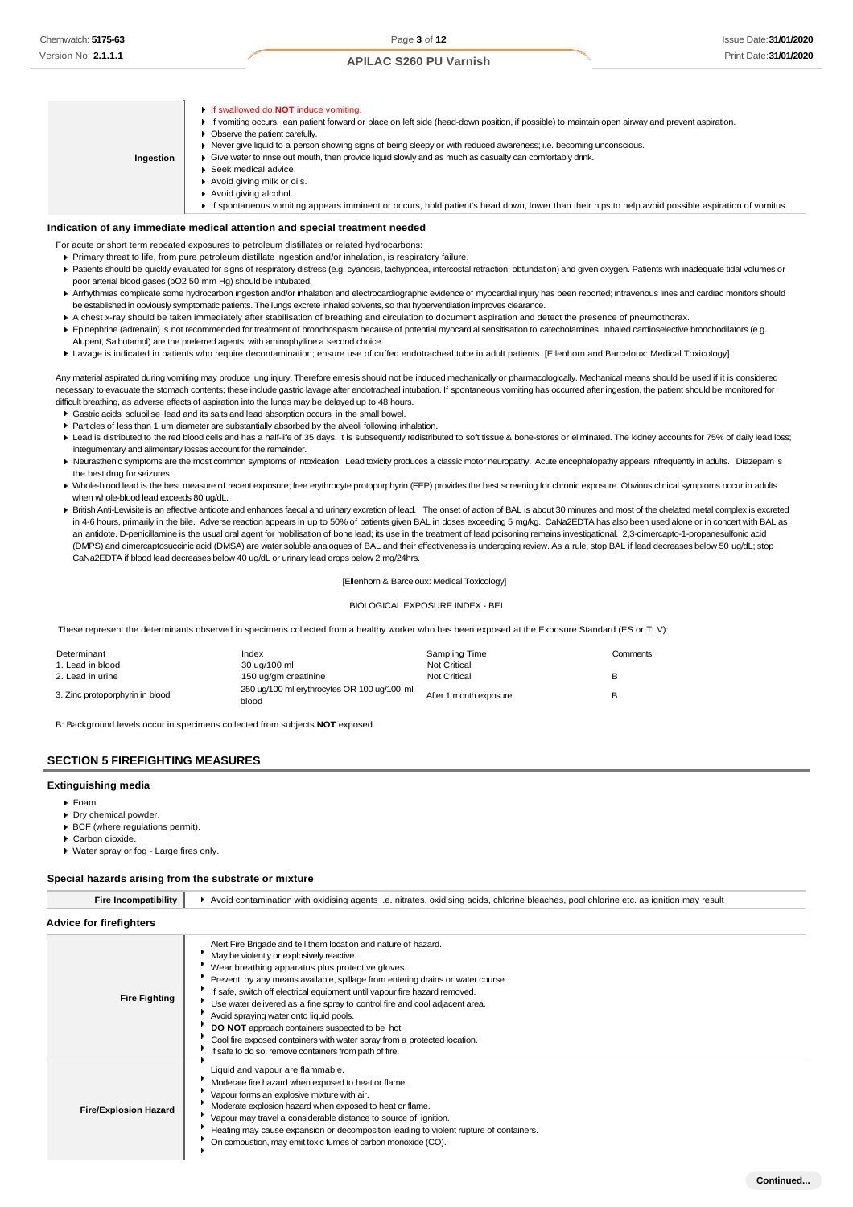**Indication of any immediate medical attention and special treatment needed** If swallowed do **NOT** induce vomiting. If vomiting occurs, lean patient forward or place on left side (head-down position, if possible) to maintain open airway and prevent aspiration. **Deserve the patient carefully.** Never give liquid to a person showing signs of being sleepy or with reduced awareness; i.e. becoming unconscious. Give water to rinse out mouth, then provide liquid slowly and as much as casualty can comfortably drink. ▶ Seek medical advice. Avoid giving milk or oils. Avoid giving alcohol. If spontaneous vomiting appears imminent or occurs, hold patient's head down, lower than their hips to help avoid possible aspiration of vomitus. **Ingestion**

- For acute or short term repeated exposures to petroleum distillates or related hydrocarbons:
	- Primary threat to life, from pure petroleum distillate ingestion and/or inhalation, is respiratory failure.
- Patients should be quickly evaluated for signs of respiratory distress (e.g. cyanosis, tachypnoea, intercostal retraction, obtundation) and given oxygen. Patients with inadequate tidal volumes or poor arterial blood gases (pO2 50 mm Hg) should be intubated.
- ▶ Arrhythmias complicate some hydrocarbon ingestion and/or inhalation and electrocardiographic evidence of myocardial injury has been reported; intravenous lines and cardiac monitors should be established in obviously symptomatic patients. The lungs excrete inhaled solvents, so that hyperventilation improves clearance.
- A chest x-ray should be taken immediately after stabilisation of breathing and circulation to document aspiration and detect the presence of pneumothorax.
- Epinephrine (adrenalin) is not recommended for treatment of bronchospasm because of potential myocardial sensitisation to catecholamines. Inhaled cardioselective bronchodilators (e.g. Alupent, Salbutamol) are the preferred agents, with aminophylline a second choice.
- Lavage is indicated in patients who require decontamination; ensure use of cuffed endotracheal tube in adult patients. [Ellenhorn and Barceloux: Medical Toxicology]

Any material aspirated during vomiting may produce lung injury. Therefore emesis should not be induced mechanically or pharmacologically. Mechanical means should be used if it is considered necessary to evacuate the stomach contents; these include gastric lavage after endotracheal intubation. If spontaneous vomiting has occurred after ingestion, the patient should be monitored for difficult breathing, as adverse effects of aspiration into the lungs may be delayed up to 48 hours.

- Gastric acids solubilise lead and its salts and lead absorption occurs in the small bowel.
- Particles of less than 1 um diameter are substantially absorbed by the alveoli following inhalation.
- Lead is distributed to the red blood cells and has a half-life of 35 days. It is subsequently redistributed to soft tissue & bone-stores or eliminated. The kidney accounts for 75% of daily lead loss; integumentary and alimentary losses account for the remainder.
- ▶ Neurasthenic symptoms are the most common symptoms of intoxication. Lead toxicity produces a classic motor neuropathy. Acute encephalopathy appears infrequently in adults. Diazepam is the best drug for seizures.
- ▶ Whole-blood lead is the best measure of recent exposure; free erythrocyte protoporphyrin (FEP) provides the best screening for chronic exposure. Obvious clinical symptoms occur in adults when whole-blood lead exceeds 80 ug/dL.
- ▶ British Anti-Lewisite is an effective antidote and enhances faecal and urinary excretion of lead. The onset of action of BAL is about 30 minutes and most of the chelated metal complex is excreted in 4-6 hours, primarily in the bile. Adverse reaction appears in up to 50% of patients given BAL in doses exceeding 5 mg/kg. CaNa2EDTA has also been used alone or in concert with BAL as an antidote. D-penicillamine is the usual oral agent for mobilisation of bone lead; its use in the treatment of lead poisoning remains investigational. 2,3-dimercapto-1-propanesulfonic acid (DMPS) and dimercaptosuccinic acid (DMSA) are water soluble analogues of BAL and their effectiveness is undergoing review. As a rule, stop BAL if lead decreases below 50 ug/dL; stop CaNa2EDTA if blood lead decreases below 40 ug/dL or urinary lead drops below 2 mg/24hrs.

#### [Ellenhorn & Barceloux: Medical Toxicology]

#### BIOLOGICAL EXPOSURE INDEX - BEI

These represent the determinants observed in specimens collected from a healthy worker who has been exposed at the Exposure Standard (ES or TLV):

| Determinant                     | Index                                                | Sampling Time          | Comments |
|---------------------------------|------------------------------------------------------|------------------------|----------|
| 1. Lead in blood                | 30 ug/100 ml                                         | <b>Not Critical</b>    |          |
| 2. Lead in urine                | 150 ug/gm creatinine                                 | <b>Not Critical</b>    | в        |
| 3. Zinc protoporphyrin in blood | 250 ug/100 ml erythrocytes OR 100 ug/100 ml<br>blood | After 1 month exposure | B        |

B: Background levels occur in specimens collected from subjects **NOT** exposed.

#### **SECTION 5 FIREFIGHTING MEASURES**

#### **Extinguishing media**

- $F<sub>o</sub>$ am.
- Drv chemical powder.
- BCF (where regulations permit).
- Carbon dioxide.
- Water spray or fog Large fires only.

#### **Special hazards arising from the substrate or mixture**

| <b>Fire Incompatibility</b>    | Avoid contamination with oxidising agents i.e. nitrates, oxidising acids, chlorine bleaches, pool chlorine etc. as ignition may result                                                                                                                                                                                                                                                                                                                                                                                                                                                                                                               |  |  |
|--------------------------------|------------------------------------------------------------------------------------------------------------------------------------------------------------------------------------------------------------------------------------------------------------------------------------------------------------------------------------------------------------------------------------------------------------------------------------------------------------------------------------------------------------------------------------------------------------------------------------------------------------------------------------------------------|--|--|
| <b>Advice for firefighters</b> |                                                                                                                                                                                                                                                                                                                                                                                                                                                                                                                                                                                                                                                      |  |  |
| <b>Fire Fighting</b>           | Alert Fire Brigade and tell them location and nature of hazard.<br>May be violently or explosively reactive.<br>Wear breathing apparatus plus protective gloves.<br>Prevent, by any means available, spillage from entering drains or water course.<br>If safe, switch off electrical equipment until vapour fire hazard removed.<br>Use water delivered as a fine spray to control fire and cool adjacent area.<br>Avoid spraying water onto liquid pools.<br>DO NOT approach containers suspected to be hot.<br>Cool fire exposed containers with water spray from a protected location.<br>If safe to do so, remove containers from path of fire. |  |  |
| <b>Fire/Explosion Hazard</b>   | Liquid and vapour are flammable.<br>Moderate fire hazard when exposed to heat or flame.<br>Vapour forms an explosive mixture with air.<br>Moderate explosion hazard when exposed to heat or flame.<br>Vapour may travel a considerable distance to source of ignition.<br>Heating may cause expansion or decomposition leading to violent rupture of containers.<br>On combustion, may emit toxic fumes of carbon monoxide (CO).                                                                                                                                                                                                                     |  |  |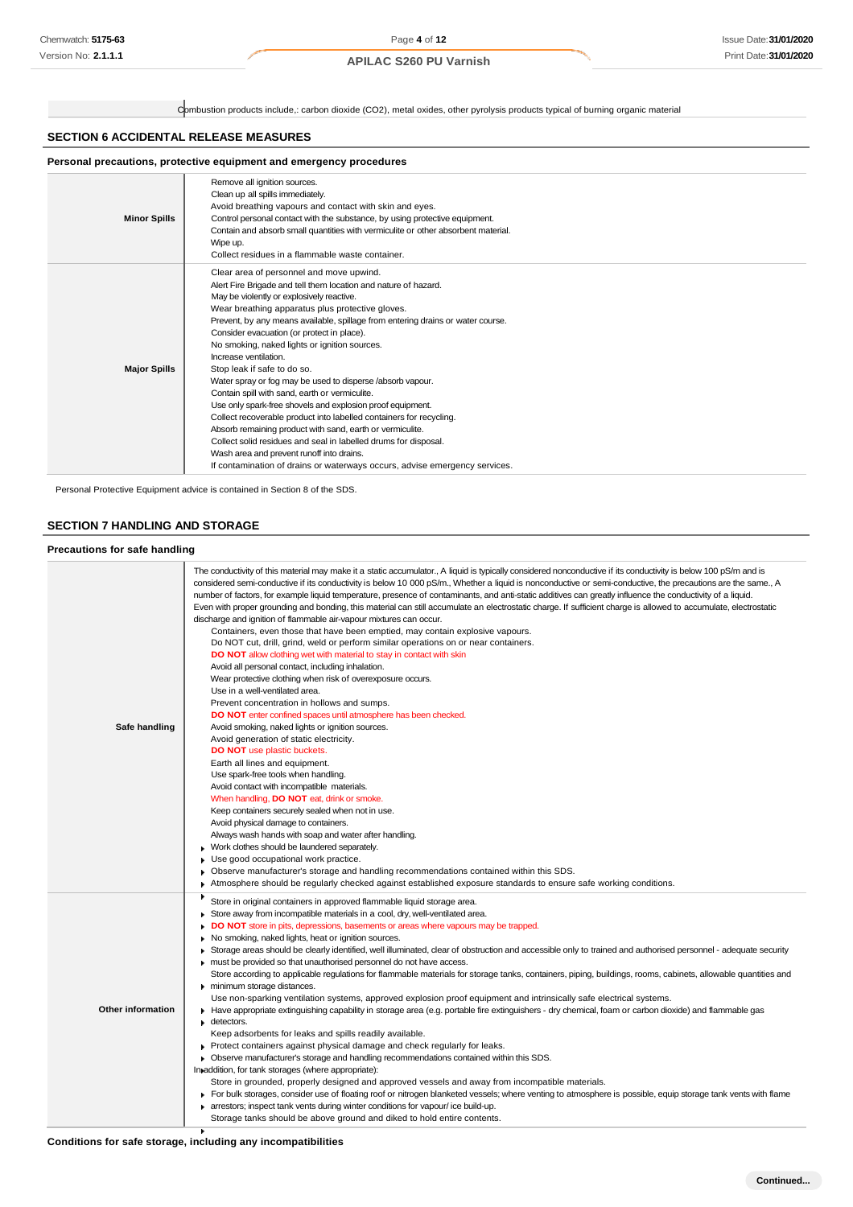Combustion products include,: carbon dioxide (CO2), metal oxides, other pyrolysis products typical of burning organic material

# **SECTION 6 ACCIDENTAL RELEASE MEASURES**

| Personal precautions, protective equipment and emergency procedures |                                                                                                                                                                                                                                                                                                                                                                                                                                                                                                                                                                                                                                                                                                                                                                                                                                                                                                                                                                        |  |  |  |
|---------------------------------------------------------------------|------------------------------------------------------------------------------------------------------------------------------------------------------------------------------------------------------------------------------------------------------------------------------------------------------------------------------------------------------------------------------------------------------------------------------------------------------------------------------------------------------------------------------------------------------------------------------------------------------------------------------------------------------------------------------------------------------------------------------------------------------------------------------------------------------------------------------------------------------------------------------------------------------------------------------------------------------------------------|--|--|--|
| <b>Minor Spills</b>                                                 | Remove all ignition sources.<br>Clean up all spills immediately.<br>Avoid breathing vapours and contact with skin and eyes.<br>Control personal contact with the substance, by using protective equipment.<br>Contain and absorb small quantities with vermiculite or other absorbent material.<br>Wipe up.<br>Collect residues in a flammable waste container.                                                                                                                                                                                                                                                                                                                                                                                                                                                                                                                                                                                                        |  |  |  |
| <b>Major Spills</b>                                                 | Clear area of personnel and move upwind.<br>Alert Fire Brigade and tell them location and nature of hazard.<br>May be violently or explosively reactive.<br>Wear breathing apparatus plus protective gloves.<br>Prevent, by any means available, spillage from entering drains or water course.<br>Consider evacuation (or protect in place).<br>No smoking, naked lights or ignition sources.<br>Increase ventilation.<br>Stop leak if safe to do so.<br>Water spray or fog may be used to disperse /absorb vapour.<br>Contain spill with sand, earth or vermiculite.<br>Use only spark-free shovels and explosion proof equipment.<br>Collect recoverable product into labelled containers for recycling.<br>Absorb remaining product with sand, earth or vermiculite.<br>Collect solid residues and seal in labelled drums for disposal.<br>Wash area and prevent runoff into drains.<br>If contamination of drains or waterways occurs, advise emergency services. |  |  |  |

Personal Protective Equipment advice is contained in Section 8 of the SDS.

# **SECTION 7 HANDLING AND STORAGE**

#### **Precautions for safe handling**

| Safe handling            | The conductivity of this material may make it a static accumulator., A liquid is typically considered nonconductive if its conductivity is below 100 pS/m and is<br>considered semi-conductive if its conductivity is below 10 000 pS/m., Whether a liquid is nonconductive or semi-conductive, the precautions are the same., A<br>number of factors, for example liquid temperature, presence of contaminants, and anti-static additives can greatly influence the conductivity of a liquid.<br>Even with proper grounding and bonding, this material can still accumulate an electrostatic charge. If sufficient charge is allowed to accumulate, electrostatic<br>discharge and ignition of flammable air-vapour mixtures can occur.<br>Containers, even those that have been emptied, may contain explosive vapours.<br>Do NOT cut, drill, grind, weld or perform similar operations on or near containers.<br><b>DO NOT</b> allow clothing wet with material to stay in contact with skin<br>Avoid all personal contact, including inhalation.<br>Wear protective clothing when risk of overexposure occurs.<br>Use in a well-ventilated area.<br>Prevent concentration in hollows and sumps.<br>DO NOT enter confined spaces until atmosphere has been checked.<br>Avoid smoking, naked lights or ignition sources.<br>Avoid generation of static electricity.<br><b>DO NOT</b> use plastic buckets.<br>Earth all lines and equipment.<br>Use spark-free tools when handling.<br>Avoid contact with incompatible materials.<br>When handling, <b>DO NOT</b> eat, drink or smoke.<br>Keep containers securely sealed when not in use.<br>Avoid physical damage to containers.<br>Always wash hands with soap and water after handling.<br>Work clothes should be laundered separately.<br>Use good occupational work practice.<br>Observe manufacturer's storage and handling recommendations contained within this SDS.<br>٠<br>Atmosphere should be regularly checked against established exposure standards to ensure safe working conditions. |
|--------------------------|---------------------------------------------------------------------------------------------------------------------------------------------------------------------------------------------------------------------------------------------------------------------------------------------------------------------------------------------------------------------------------------------------------------------------------------------------------------------------------------------------------------------------------------------------------------------------------------------------------------------------------------------------------------------------------------------------------------------------------------------------------------------------------------------------------------------------------------------------------------------------------------------------------------------------------------------------------------------------------------------------------------------------------------------------------------------------------------------------------------------------------------------------------------------------------------------------------------------------------------------------------------------------------------------------------------------------------------------------------------------------------------------------------------------------------------------------------------------------------------------------------------------------------------------------------------------------------------------------------------------------------------------------------------------------------------------------------------------------------------------------------------------------------------------------------------------------------------------------------------------------------------------------------------------------------------------------------------------------------------------------------------------------------------------------------|
| <b>Other information</b> | Store in original containers in approved flammable liquid storage area.<br>Store away from incompatible materials in a cool, dry, well-ventilated area.<br>٠<br><b>DO NOT</b> store in pits, depressions, basements or areas where vapours may be trapped.<br>No smoking, naked lights, heat or ignition sources.<br>۰.<br>▶ Storage areas should be clearly identified, well illuminated, clear of obstruction and accessible only to trained and authorised personnel - adequate security<br>must be provided so that unauthorised personnel do not have access.<br>Store according to applicable regulations for flammable materials for storage tanks, containers, piping, buildings, rooms, cabinets, allowable quantities and<br>minimum storage distances.<br>Use non-sparking ventilation systems, approved explosion proof equipment and intrinsically safe electrical systems.<br>Have appropriate extinguishing capability in storage area (e.g. portable fire extinguishers - dry chemical, foam or carbon dioxide) and flammable gas<br>detectors.<br>Keep adsorbents for leaks and spills readily available.<br>▶ Protect containers against physical damage and check regularly for leaks.<br>• Observe manufacturer's storage and handling recommendations contained within this SDS.<br>In addition, for tank storages (where appropriate):<br>Store in grounded, properly designed and approved vessels and away from incompatible materials.<br>For bulk storages, consider use of floating roof or nitrogen blanketed vessels; where venting to atmosphere is possible, equip storage tank vents with flame<br>arrestors; inspect tank vents during winter conditions for vapour/ice build-up.<br>Storage tanks should be above ground and diked to hold entire contents.                                                                                                                                                                                                                                                           |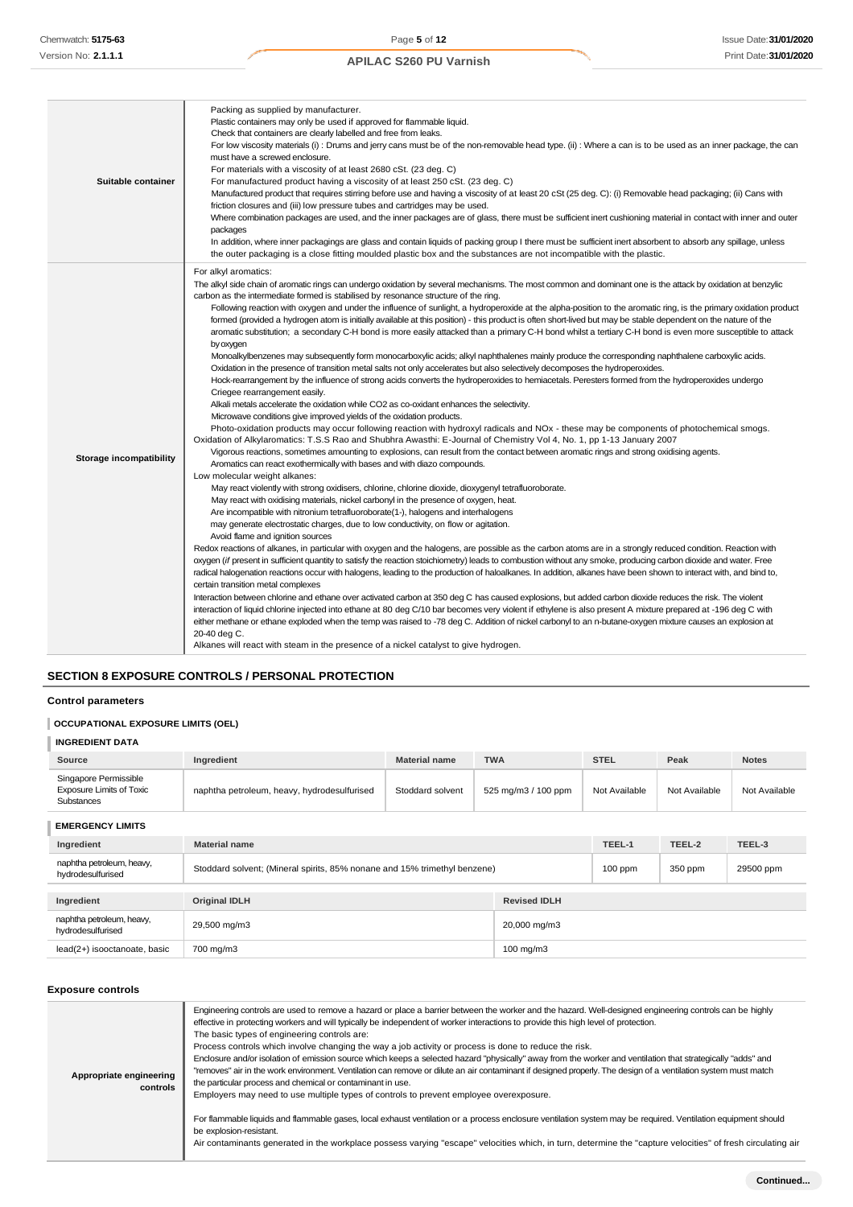| Suitable container      | Packing as supplied by manufacturer.<br>Plastic containers may only be used if approved for flammable liquid.<br>Check that containers are clearly labelled and free from leaks.<br>For low viscosity materials (i): Drums and jerry cans must be of the non-removable head type. (ii): Where a can is to be used as an inner package, the can<br>must have a screwed enclosure.<br>For materials with a viscosity of at least 2680 cSt. (23 deg. C)<br>For manufactured product having a viscosity of at least 250 cSt. (23 deg. C)<br>Manufactured product that requires stirring before use and having a viscosity of at least 20 cSt (25 deg. C): (i) Removable head packaging; (ii) Cans with<br>friction closures and (iii) low pressure tubes and cartridges may be used.<br>Where combination packages are used, and the inner packages are of glass, there must be sufficient inert cushioning material in contact with inner and outer<br>packages<br>In addition, where inner packagings are glass and contain liquids of packing group I there must be sufficient inert absorbent to absorb any spillage, unless<br>the outer packaging is a close fitting moulded plastic box and the substances are not incompatible with the plastic.                                                                                                                                                                                                                                                                                                                                                                                                                                                                                                                                                                                                                                                                                                                                                                                                                                                                                                                                                                                                                                                                                                                                                                                                                                                                                                                                                                                                                                                                                                                                                                                                                                                                                                                                                                                                                                                                                                                                                                                                                                                                                                                                                                                                                                                                           |
|-------------------------|--------------------------------------------------------------------------------------------------------------------------------------------------------------------------------------------------------------------------------------------------------------------------------------------------------------------------------------------------------------------------------------------------------------------------------------------------------------------------------------------------------------------------------------------------------------------------------------------------------------------------------------------------------------------------------------------------------------------------------------------------------------------------------------------------------------------------------------------------------------------------------------------------------------------------------------------------------------------------------------------------------------------------------------------------------------------------------------------------------------------------------------------------------------------------------------------------------------------------------------------------------------------------------------------------------------------------------------------------------------------------------------------------------------------------------------------------------------------------------------------------------------------------------------------------------------------------------------------------------------------------------------------------------------------------------------------------------------------------------------------------------------------------------------------------------------------------------------------------------------------------------------------------------------------------------------------------------------------------------------------------------------------------------------------------------------------------------------------------------------------------------------------------------------------------------------------------------------------------------------------------------------------------------------------------------------------------------------------------------------------------------------------------------------------------------------------------------------------------------------------------------------------------------------------------------------------------------------------------------------------------------------------------------------------------------------------------------------------------------------------------------------------------------------------------------------------------------------------------------------------------------------------------------------------------------------------------------------------------------------------------------------------------------------------------------------------------------------------------------------------------------------------------------------------------------------------------------------------------------------------------------------------------------------------------------------------------------------------------------------------------------------------------------------------------------------------------------------------------------------------------------------------------------|
| Storage incompatibility | For alkyl aromatics:<br>The alkyl side chain of aromatic rings can undergo oxidation by several mechanisms. The most common and dominant one is the attack by oxidation at benzylic<br>carbon as the intermediate formed is stabilised by resonance structure of the ring.<br>Following reaction with oxygen and under the influence of sunlight, a hydroperoxide at the alpha-position to the aromatic ring, is the primary oxidation product<br>formed (provided a hydrogen atom is initially available at this position) - this product is often short-lived but may be stable dependent on the nature of the<br>aromatic substitution; a secondary C-H bond is more easily attacked than a primary C-H bond whilst a tertiary C-H bond is even more susceptible to attack<br>by oxygen<br>Monoalkylbenzenes may subsequently form monocarboxylic acids; alkyl naphthalenes mainly produce the corresponding naphthalene carboxylic acids.<br>Oxidation in the presence of transition metal salts not only accelerates but also selectively decomposes the hydroperoxides.<br>Hock-rearrangement by the influence of strong acids converts the hydroperoxides to hemiacetals. Peresters formed from the hydroperoxides undergo<br>Criegee rearrangement easily.<br>Alkali metals accelerate the oxidation while CO2 as co-oxidant enhances the selectivity.<br>Microwave conditions give improved yields of the oxidation products.<br>Photo-oxidation products may occur following reaction with hydroxyl radicals and NOx - these may be components of photochemical smogs.<br>Oxidation of Alkylaromatics: T.S.S Rao and Shubhra Awasthi: E-Journal of Chemistry Vol 4, No. 1, pp 1-13 January 2007<br>Vigorous reactions, sometimes amounting to explosions, can result from the contact between aromatic rings and strong oxidising agents.<br>Aromatics can react exothermically with bases and with diazo compounds.<br>Low molecular weight alkanes:<br>May react violently with strong oxidisers, chlorine, chlorine dioxide, dioxygenyl tetrafluoroborate.<br>May react with oxidising materials, nickel carbonyl in the presence of oxygen, heat.<br>Are incompatible with nitronium tetrafluoroborate(1-), halogens and interhalogens<br>may generate electrostatic charges, due to low conductivity, on flow or agitation.<br>Avoid flame and ignition sources<br>Redox reactions of alkanes, in particular with oxygen and the halogens, are possible as the carbon atoms are in a strongly reduced condition. Reaction with<br>oxygen (if present in sufficient quantity to satisfy the reaction stoichiometry) leads to combustion without any smoke, producing carbon dioxide and water. Free<br>radical halogenation reactions occur with halogens, leading to the production of haloalkanes. In addition, alkanes have been shown to interact with, and bind to,<br>certain transition metal complexes<br>Interaction between chlorine and ethane over activated carbon at 350 deg C has caused explosions, but added carbon dioxide reduces the risk. The violent<br>interaction of liquid chlorine injected into ethane at 80 deg C/10 bar becomes very violent if ethylene is also present A mixture prepared at -196 deg C with<br>either methane or ethane exploded when the temp was raised to -78 deg C. Addition of nickel carbonyl to an n-butane-oxygen mixture causes an explosion at<br>20-40 deg C.<br>Alkanes will react with steam in the presence of a nickel catalyst to give hydrogen. |

# **SECTION 8 EXPOSURE CONTROLS / PERSONAL PROTECTION**

# **Control parameters**

#### **OCCUPATIONAL EXPOSURE LIMITS (OEL)**

| <b>INGREDIENT DATA</b>                                                 |                                             |                      |                     |               |               |               |
|------------------------------------------------------------------------|---------------------------------------------|----------------------|---------------------|---------------|---------------|---------------|
| Source                                                                 | Ingredient                                  | <b>Material name</b> | <b>TWA</b>          | <b>STEL</b>   | Peak          | <b>Notes</b>  |
| Singapore Permissible<br><b>Exposure Limits of Toxic</b><br>Substances | naphtha petroleum, heavy, hydrodesulfurised | Stoddard solvent     | 525 mg/m3 / 100 ppm | Not Available | Not Available | Not Available |
| <b>EMERGENCY LIMITS</b>                                                |                                             |                      |                     |               |               |               |

# **Ingredient Material name TEEL-1 TEEL-2 TEEL-3** naphtha petroleum, heavy, hydrodesulfurised Stoddard solvent; (Mineral spirits, 85% nonane and 15% trimethyl benzene) 100 ppm 350 ppm 29500 ppm **Ingredient Original IDLH Revised IDLH** naphtha petroleum, heavy, hydrodesulfurised 29,500 mg/m3 29,500 mg/m3 20,000 mg/m3 20,000 mg/m3 lead(2+) isooctanoate, basic 700 mg/m3 100 mg/m3

#### **Exposure controls**

| Appropriate engineering<br>controls | Engineering controls are used to remove a hazard or place a barrier between the worker and the hazard. Well-designed engineering controls can be highly<br>effective in protecting workers and will typically be independent of worker interactions to provide this high level of protection.<br>The basic types of engineering controls are:<br>Process controls which involve changing the way a job activity or process is done to reduce the risk.<br>Enclosure and/or isolation of emission source which keeps a selected hazard "physically" away from the worker and ventilation that strategically "adds" and<br>"removes" air in the work environment. Ventilation can remove or dilute an air contaminant if designed properly. The design of a ventilation system must match<br>the particular process and chemical or contaminant in use.<br>Employers may need to use multiple types of controls to prevent employee overexposure.<br>For flammable liquids and flammable gases, local exhaust ventilation or a process enclosure ventilation system may be required. Ventilation equipment should<br>be explosion-resistant.<br>Air contaminants generated in the workplace possess varying "escape" velocities which, in turn, determine the "capture velocities" of fresh circulating air |
|-------------------------------------|-----------------------------------------------------------------------------------------------------------------------------------------------------------------------------------------------------------------------------------------------------------------------------------------------------------------------------------------------------------------------------------------------------------------------------------------------------------------------------------------------------------------------------------------------------------------------------------------------------------------------------------------------------------------------------------------------------------------------------------------------------------------------------------------------------------------------------------------------------------------------------------------------------------------------------------------------------------------------------------------------------------------------------------------------------------------------------------------------------------------------------------------------------------------------------------------------------------------------------------------------------------------------------------------------------------|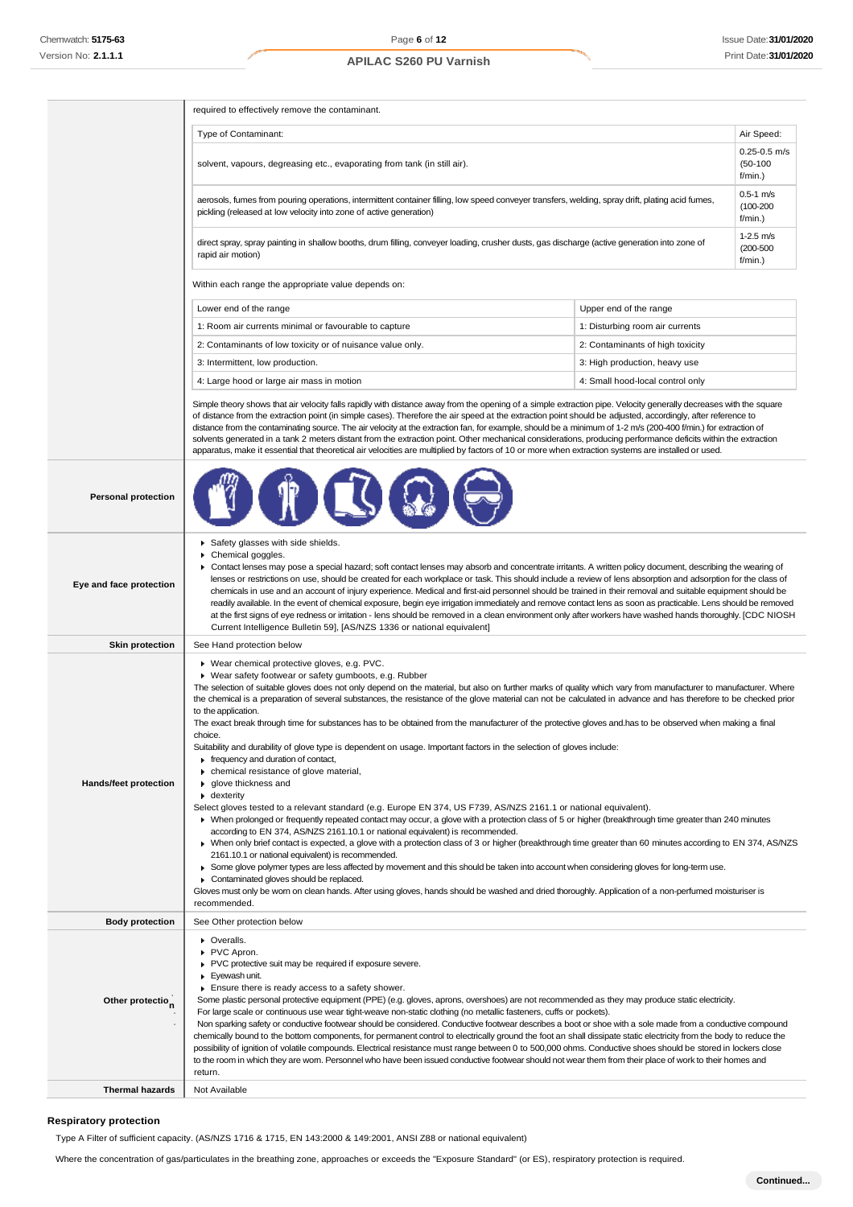Î.

# **APILAC S260 PU Varnish**

| Type of Contaminant:<br>Air Speed:<br>$0.25 - 0.5$ m/s<br>$(50-100)$<br>solvent, vapours, degreasing etc., evaporating from tank (in still air).<br>f/min.)<br>$0.5 - 1$ m/s<br>aerosols, fumes from pouring operations, intermittent container filling, low speed conveyer transfers, welding, spray drift, plating acid fumes,<br>$(100 - 200)$<br>pickling (released at low velocity into zone of active generation)<br>f/min.)<br>$1-2.5$ m/s<br>direct spray, spray painting in shallow booths, drum filling, conveyer loading, crusher dusts, gas discharge (active generation into zone of<br>$(200 - 500)$<br>rapid air motion)<br>f/min.)<br>Within each range the appropriate value depends on:<br>Lower end of the range<br>Upper end of the range<br>1: Room air currents minimal or favourable to capture<br>1: Disturbing room air currents<br>2: Contaminants of low toxicity or of nuisance value only.<br>2: Contaminants of high toxicity                                                                                                                                                                                                                                                                                                                                                                                                                                                                                                                                                                                                                                                                                                                                                                                                                                                                                                                    |
|--------------------------------------------------------------------------------------------------------------------------------------------------------------------------------------------------------------------------------------------------------------------------------------------------------------------------------------------------------------------------------------------------------------------------------------------------------------------------------------------------------------------------------------------------------------------------------------------------------------------------------------------------------------------------------------------------------------------------------------------------------------------------------------------------------------------------------------------------------------------------------------------------------------------------------------------------------------------------------------------------------------------------------------------------------------------------------------------------------------------------------------------------------------------------------------------------------------------------------------------------------------------------------------------------------------------------------------------------------------------------------------------------------------------------------------------------------------------------------------------------------------------------------------------------------------------------------------------------------------------------------------------------------------------------------------------------------------------------------------------------------------------------------------------------------------------------------------------------------------------------------|
|                                                                                                                                                                                                                                                                                                                                                                                                                                                                                                                                                                                                                                                                                                                                                                                                                                                                                                                                                                                                                                                                                                                                                                                                                                                                                                                                                                                                                                                                                                                                                                                                                                                                                                                                                                                                                                                                                |
|                                                                                                                                                                                                                                                                                                                                                                                                                                                                                                                                                                                                                                                                                                                                                                                                                                                                                                                                                                                                                                                                                                                                                                                                                                                                                                                                                                                                                                                                                                                                                                                                                                                                                                                                                                                                                                                                                |
|                                                                                                                                                                                                                                                                                                                                                                                                                                                                                                                                                                                                                                                                                                                                                                                                                                                                                                                                                                                                                                                                                                                                                                                                                                                                                                                                                                                                                                                                                                                                                                                                                                                                                                                                                                                                                                                                                |
|                                                                                                                                                                                                                                                                                                                                                                                                                                                                                                                                                                                                                                                                                                                                                                                                                                                                                                                                                                                                                                                                                                                                                                                                                                                                                                                                                                                                                                                                                                                                                                                                                                                                                                                                                                                                                                                                                |
|                                                                                                                                                                                                                                                                                                                                                                                                                                                                                                                                                                                                                                                                                                                                                                                                                                                                                                                                                                                                                                                                                                                                                                                                                                                                                                                                                                                                                                                                                                                                                                                                                                                                                                                                                                                                                                                                                |
|                                                                                                                                                                                                                                                                                                                                                                                                                                                                                                                                                                                                                                                                                                                                                                                                                                                                                                                                                                                                                                                                                                                                                                                                                                                                                                                                                                                                                                                                                                                                                                                                                                                                                                                                                                                                                                                                                |
|                                                                                                                                                                                                                                                                                                                                                                                                                                                                                                                                                                                                                                                                                                                                                                                                                                                                                                                                                                                                                                                                                                                                                                                                                                                                                                                                                                                                                                                                                                                                                                                                                                                                                                                                                                                                                                                                                |
|                                                                                                                                                                                                                                                                                                                                                                                                                                                                                                                                                                                                                                                                                                                                                                                                                                                                                                                                                                                                                                                                                                                                                                                                                                                                                                                                                                                                                                                                                                                                                                                                                                                                                                                                                                                                                                                                                |
| 3: Intermittent, low production.<br>3: High production, heavy use                                                                                                                                                                                                                                                                                                                                                                                                                                                                                                                                                                                                                                                                                                                                                                                                                                                                                                                                                                                                                                                                                                                                                                                                                                                                                                                                                                                                                                                                                                                                                                                                                                                                                                                                                                                                              |
| 4: Large hood or large air mass in motion<br>4: Small hood-local control only                                                                                                                                                                                                                                                                                                                                                                                                                                                                                                                                                                                                                                                                                                                                                                                                                                                                                                                                                                                                                                                                                                                                                                                                                                                                                                                                                                                                                                                                                                                                                                                                                                                                                                                                                                                                  |
| Simple theory shows that air velocity falls rapidly with distance away from the opening of a simple extraction pipe. Velocity generally decreases with the square<br>of distance from the extraction point (in simple cases). Therefore the air speed at the extraction point should be adjusted, accordingly, after reference to<br>distance from the contaminating source. The air velocity at the extraction fan, for example, should be a minimum of 1-2 m/s (200-400 f/min.) for extraction of<br>solvents generated in a tank 2 meters distant from the extraction point. Other mechanical considerations, producing performance deficits within the extraction<br>apparatus, make it essential that theoretical air velocities are multiplied by factors of 10 or more when extraction systems are installed or used.                                                                                                                                                                                                                                                                                                                                                                                                                                                                                                                                                                                                                                                                                                                                                                                                                                                                                                                                                                                                                                                   |
| <b>Personal protection</b>                                                                                                                                                                                                                                                                                                                                                                                                                                                                                                                                                                                                                                                                                                                                                                                                                                                                                                                                                                                                                                                                                                                                                                                                                                                                                                                                                                                                                                                                                                                                                                                                                                                                                                                                                                                                                                                     |
| Safety glasses with side shields.<br>Chemical goggles.<br>▶ Contact lenses may pose a special hazard; soft contact lenses may absorb and concentrate irritants. A written policy document, describing the wearing of<br>lenses or restrictions on use, should be created for each workplace or task. This should include a review of lens absorption and adsorption for the class of<br>Eye and face protection<br>chemicals in use and an account of injury experience. Medical and first-aid personnel should be trained in their removal and suitable equipment should be<br>readily available. In the event of chemical exposure, begin eye irrigation immediately and remove contact lens as soon as practicable. Lens should be removed<br>at the first signs of eye redness or irritation - lens should be removed in a clean environment only after workers have washed hands thoroughly. [CDC NIOSH<br>Current Intelligence Bulletin 59], [AS/NZS 1336 or national equivalent]                                                                                                                                                                                                                                                                                                                                                                                                                                                                                                                                                                                                                                                                                                                                                                                                                                                                                        |
| <b>Skin protection</b><br>See Hand protection below                                                                                                                                                                                                                                                                                                                                                                                                                                                                                                                                                                                                                                                                                                                                                                                                                                                                                                                                                                                                                                                                                                                                                                                                                                                                                                                                                                                                                                                                                                                                                                                                                                                                                                                                                                                                                            |
| ▶ Wear chemical protective gloves, e.g. PVC.<br>▶ Wear safety footwear or safety gumboots, e.g. Rubber<br>The selection of suitable gloves does not only depend on the material, but also on further marks of quality which vary from manufacturer to manufacturer. Where<br>the chemical is a preparation of several substances, the resistance of the glove material can not be calculated in advance and has therefore to be checked prior<br>to the application.<br>The exact break through time for substances has to be obtained from the manufacturer of the protective gloves and.has to be observed when making a final<br>choice.<br>Suitability and durability of glove type is dependent on usage. Important factors in the selection of gloves include:<br>requency and duration of contact,<br>chemical resistance of glove material,<br>Hands/feet protection<br>glove thickness and<br>$\bullet$ dexterity<br>Select gloves tested to a relevant standard (e.g. Europe EN 374, US F739, AS/NZS 2161.1 or national equivalent).<br>▶ When prolonged or frequently repeated contact may occur, a glove with a protection class of 5 or higher (breakthrough time greater than 240 minutes<br>according to EN 374, AS/NZS 2161.10.1 or national equivalent) is recommended.<br>▶ When only brief contact is expected, a glove with a protection class of 3 or higher (breakthrough time greater than 60 minutes according to EN 374, AS/NZS<br>2161.10.1 or national equivalent) is recommended.<br>► Some glove polymer types are less affected by movement and this should be taken into account when considering gloves for long-term use.<br>Contaminated gloves should be replaced.<br>Gloves must only be wom on clean hands. After using gloves, hands should be washed and dried thoroughly. Application of a non-perfumed moisturiser is<br>recommended. |
| <b>Body protection</b><br>See Other protection below                                                                                                                                                                                                                                                                                                                                                                                                                                                                                                                                                                                                                                                                                                                                                                                                                                                                                                                                                                                                                                                                                                                                                                                                                                                                                                                                                                                                                                                                                                                                                                                                                                                                                                                                                                                                                           |
| ▶ Overalls.<br>PVC Apron.<br>PVC protective suit may be required if exposure severe.<br>Eyewash unit.<br>Ensure there is ready access to a safety shower.<br>Some plastic personal protective equipment (PPE) (e.g. gloves, aprons, overshoes) are not recommended as they may produce static electricity.<br>Other protectio <sub>n</sub><br>For large scale or continuous use wear tight-weave non-static clothing (no metallic fasteners, cuffs or pockets).<br>Non sparking safety or conductive footwear should be considered. Conductive footwear describes a boot or shoe with a sole made from a conductive compound<br>chemically bound to the bottom components, for permanent control to electrically ground the foot an shall dissipate static electricity from the body to reduce the<br>possibility of ignition of volatile compounds. Electrical resistance must range between 0 to 500,000 ohms. Conductive shoes should be stored in lockers close<br>to the room in which they are worn. Personnel who have been issued conductive footwear should not wear them from their place of work to their homes and<br>return.                                                                                                                                                                                                                                                                                                                                                                                                                                                                                                                                                                                                                                                                                                                                      |
| <b>Thermal hazards</b><br>Not Available                                                                                                                                                                                                                                                                                                                                                                                                                                                                                                                                                                                                                                                                                                                                                                                                                                                                                                                                                                                                                                                                                                                                                                                                                                                                                                                                                                                                                                                                                                                                                                                                                                                                                                                                                                                                                                        |

# **Respiratory protection**

Type A Filter of sufficient capacity. (AS/NZS 1716 & 1715, EN 143:2000 & 149:2001, ANSI Z88 or national equivalent)

Where the concentration of gas/particulates in the breathing zone, approaches or exceeds the "Exposure Standard" (or ES), respiratory protection is required.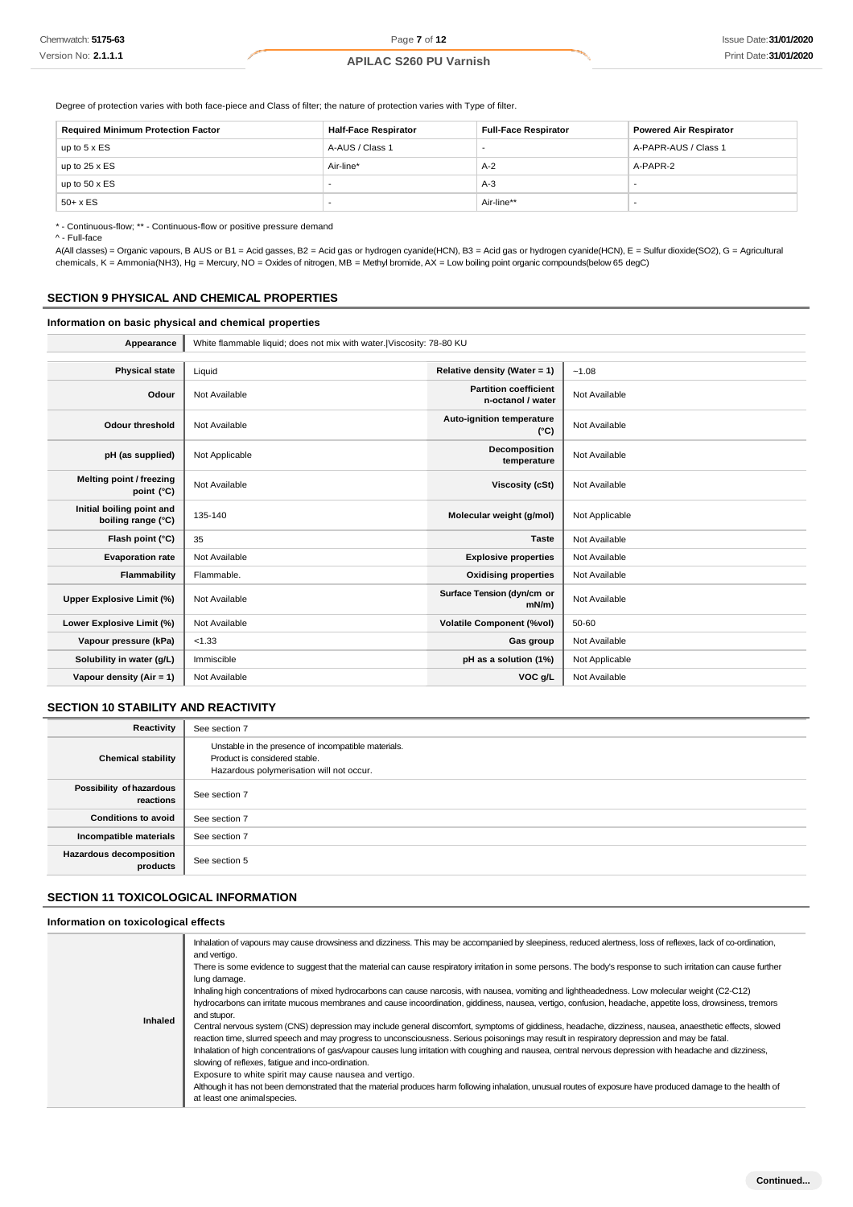Degree of protection varies with both face-piece and Class of filter; the nature of protection varies with Type of filter.

| <b>Required Minimum Protection Factor</b> | <b>Half-Face Respirator</b> | <b>Full-Face Respirator</b> | <b>Powered Air Respirator</b> |
|-------------------------------------------|-----------------------------|-----------------------------|-------------------------------|
| up to $5 \times ES$                       | A-AUS / Class 1             |                             | A-PAPR-AUS / Class 1          |
| up to $25 \times ES$                      | Air-line*                   | $A-2$                       | A-PAPR-2                      |
| up to $50 \times ES$                      |                             | $A-3$                       |                               |
| $50+ x ES$                                |                             | Air-line**                  |                               |

\* - Continuous-flow; \*\* - Continuous-flow or positive pressure demand

^ - Full-face

A(All classes) = Organic vapours, B AUS or B1 = Acid gasses, B2 = Acid gas or hydrogen cyanide(HCN), B3 = Acid gas or hydrogen cyanide(HCN), E = Sulfur dioxide(SO2), G = Agricultural chemicals, K = Ammonia(NH3), Hg = Mercury, NO = Oxides of nitrogen, MB = Methyl bromide, AX = Low boiling point organic compounds(below 65 degC)

#### **SECTION 9 PHYSICAL AND CHEMICAL PROPERTIES**

#### **Information on basic physical and chemical properties**

**Appearance** White flammable liquid; does not mix with water.|Viscosity: 78-80 KU **Physical state** Liquid **Relative density (Water = 1)**  $\sim$  1.08 **Odour** Not Available **Partition coefficient Partition coefficient n-octanol / water** Not Available **Odour threshold** Not Available **Auto-ignition temperature (°C)** Not Available **pH (as supplied)** Not Applicable **Decomposition temperature** Not Available **Melting point / freezing point** (°C) Not Available **Viscosity (cSt)** Not Available **Viscosity (cSt)** Not Available **Initial boiling point and boiling range (°C)** 135-140 **Molecular weight (g/mol)** Not Applicable **Flash point (°C)** 35 **Taste** Not Available **Evaporation rate** Not Available **Explosive properties** Not Available **Explosive properties** Not Available **Flammability** Flammable. **Communist Example 2 and Available Structures Constanting Properties** Not Available **Upper Explosive Limit (%)** Not Available **Surface Tension (dyn/cm or mN/m)** Not Available **Lower Explosive Limit (%)** Not Available **Volatile Component (%vol)** 50-60 **Vapour pressure (kPa)** <1.33 **Gas group** Not Available **Solubility in water (g/L)** Immiscible **phase in the solution (1%)** Not Applicable **Vapour density (Air = 1)** Not Available **VOC g/L** Not Available

#### **SECTION 10 STABILITY AND REACTIVITY**

| Reactivity                                 | See section 7                                                                                                                    |
|--------------------------------------------|----------------------------------------------------------------------------------------------------------------------------------|
| <b>Chemical stability</b>                  | Unstable in the presence of incompatible materials.<br>Product is considered stable.<br>Hazardous polymerisation will not occur. |
| Possibility of hazardous<br>reactions      | See section 7                                                                                                                    |
| <b>Conditions to avoid</b>                 | See section 7                                                                                                                    |
| Incompatible materials                     | See section 7                                                                                                                    |
| <b>Hazardous decomposition</b><br>products | See section 5                                                                                                                    |

## **SECTION 11 TOXICOLOGICAL INFORMATION**

#### **Information on toxicological effects**

| Inhaled | Inhalation of vapours may cause drowsiness and dizziness. This may be accompanied by sleepiness, reduced alertness, loss of reflexes, lack of co-ordination,<br>and vertigo.<br>There is some evidence to suggest that the material can cause respiratory irritation in some persons. The body's response to such irritation can cause further<br>lung damage.<br>Inhaling high concentrations of mixed hydrocarbons can cause narcosis, with nausea, vomiting and lightheadedness. Low molecular weight (C2-C12)<br>hydrocarbons can irritate mucous membranes and cause incoordination, giddiness, nausea, vertigo, confusion, headache, appetite loss, drowsiness, tremors<br>and stupor.<br>Central nervous system (CNS) depression may include general discomfort, symptoms of giddiness, headache, dizziness, nausea, anaesthetic effects, slowed<br>reaction time, slurred speech and may progress to unconsciousness. Serious poisonings may result in respiratory depression and may be fatal.<br>Inhalation of high concentrations of gas/vapour causes lung irritation with coughing and nausea, central nervous depression with headache and dizziness,<br>slowing of reflexes, fatigue and inco-ordination.<br>Exposure to white spirit may cause nausea and vertigo. |
|---------|------------------------------------------------------------------------------------------------------------------------------------------------------------------------------------------------------------------------------------------------------------------------------------------------------------------------------------------------------------------------------------------------------------------------------------------------------------------------------------------------------------------------------------------------------------------------------------------------------------------------------------------------------------------------------------------------------------------------------------------------------------------------------------------------------------------------------------------------------------------------------------------------------------------------------------------------------------------------------------------------------------------------------------------------------------------------------------------------------------------------------------------------------------------------------------------------------------------------------------------------------------------------------------|
|         | Although it has not been demonstrated that the material produces harm following inhalation, unusual routes of exposure have produced damage to the health of<br>at least one animal species.                                                                                                                                                                                                                                                                                                                                                                                                                                                                                                                                                                                                                                                                                                                                                                                                                                                                                                                                                                                                                                                                                       |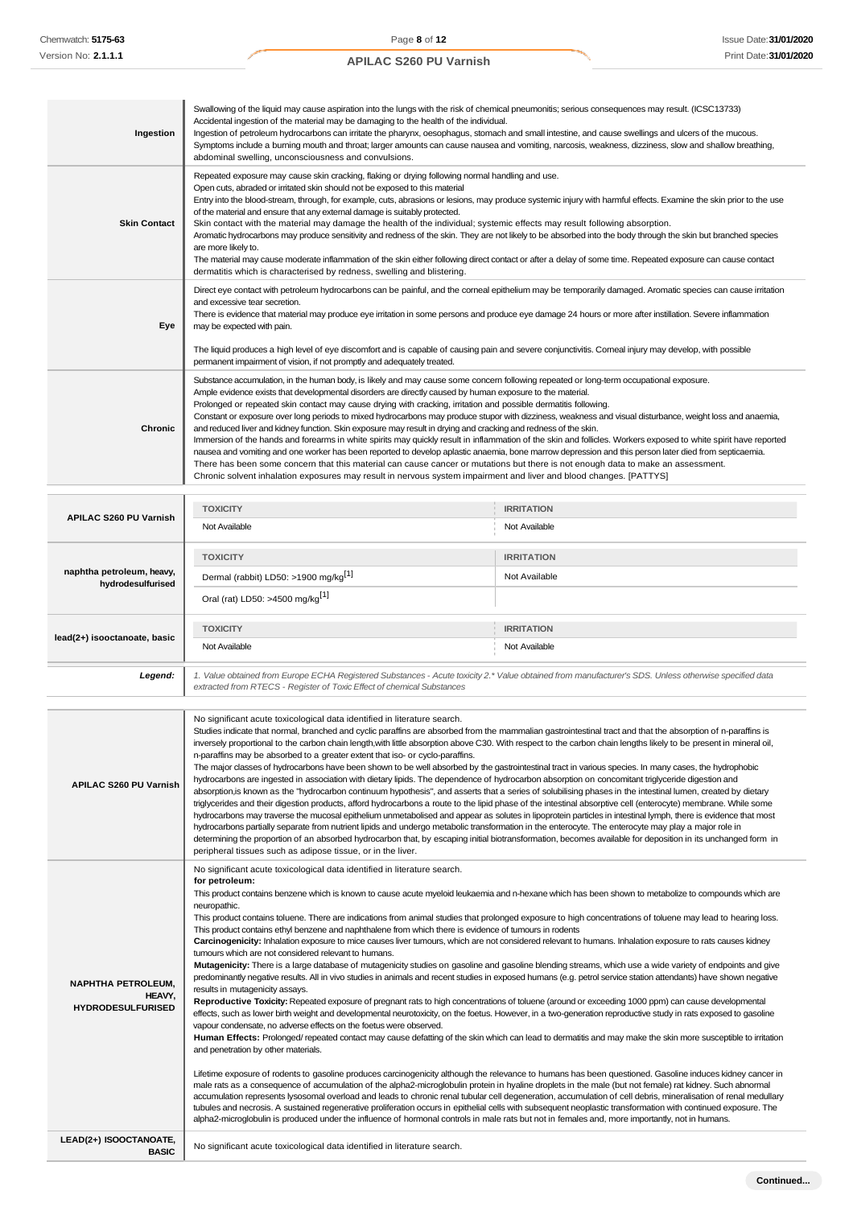| Ingestion                     | Swallowing of the liquid may cause aspiration into the lungs with the risk of chemical pneumonitis; serious consequences may result. (ICSC13733)<br>Accidental ingestion of the material may be damaging to the health of the individual.<br>Ingestion of petroleum hydrocarbons can irritate the pharynx, oesophagus, stomach and small intestine, and cause swellings and ulcers of the mucous.<br>Symptoms include a buming mouth and throat; larger amounts can cause nausea and vomiting, narcosis, weakness, dizziness, slow and shallow breathing,<br>abdominal swelling, unconsciousness and convulsions.                                                                                                                                                                                                                                                                                                                                                                                                                                                                                                                                                                                                                             |                   |  |
|-------------------------------|-----------------------------------------------------------------------------------------------------------------------------------------------------------------------------------------------------------------------------------------------------------------------------------------------------------------------------------------------------------------------------------------------------------------------------------------------------------------------------------------------------------------------------------------------------------------------------------------------------------------------------------------------------------------------------------------------------------------------------------------------------------------------------------------------------------------------------------------------------------------------------------------------------------------------------------------------------------------------------------------------------------------------------------------------------------------------------------------------------------------------------------------------------------------------------------------------------------------------------------------------|-------------------|--|
| <b>Skin Contact</b>           | Repeated exposure may cause skin cracking, flaking or drying following normal handling and use.<br>Open cuts, abraded or irritated skin should not be exposed to this material<br>Entry into the blood-stream, through, for example, cuts, abrasions or lesions, may produce systemic injury with harmful effects. Examine the skin prior to the use<br>of the material and ensure that any external damage is suitably protected.<br>Skin contact with the material may damage the health of the individual; systemic effects may result following absorption.<br>Aromatic hydrocarbons may produce sensitivity and redness of the skin. They are not likely to be absorbed into the body through the skin but branched species<br>are more likely to.<br>The material may cause moderate inflammation of the skin either following direct contact or after a delay of some time. Repeated exposure can cause contact<br>dermatitis which is characterised by redness, swelling and blistering.                                                                                                                                                                                                                                              |                   |  |
| Eye                           | Direct eye contact with petroleum hydrocarbons can be painful, and the corneal epithelium may be temporarily damaged. Aromatic species can cause irritation<br>and excessive tear secretion.<br>There is evidence that material may produce eye irritation in some persons and produce eye damage 24 hours or more after instillation. Severe inflammation<br>may be expected with pain.<br>The liquid produces a high level of eye discomfort and is capable of causing pain and severe conjunctivitis. Comeal injury may develop, with possible<br>permanent impairment of vision, if not promptly and adequately treated.                                                                                                                                                                                                                                                                                                                                                                                                                                                                                                                                                                                                                  |                   |  |
| Chronic                       | Substance accumulation, in the human body, is likely and may cause some concem following repeated or long-term occupational exposure.<br>Ample evidence exists that developmental disorders are directly caused by human exposure to the material.<br>Prolonged or repeated skin contact may cause drying with cracking, irritation and possible dermatitis following.<br>Constant or exposure over long periods to mixed hydrocarbons may produce stupor with dizziness, weakness and visual disturbance, weight loss and anaemia,<br>and reduced liver and kidney function. Skin exposure may result in drying and cracking and redness of the skin.<br>Immersion of the hands and forearms in white spirits may quickly result in inflammation of the skin and follicles. Workers exposed to white spirit have reported<br>nausea and vomiting and one worker has been reported to develop aplastic anaemia, bone marrow depression and this person later died from septicaemia.<br>There has been some concern that this material can cause cancer or mutations but there is not enough data to make an assessment.<br>Chronic solvent inhalation exposures may result in nervous system impairment and liver and blood changes. [PATTYS] |                   |  |
|                               | <b>TOXICITY</b>                                                                                                                                                                                                                                                                                                                                                                                                                                                                                                                                                                                                                                                                                                                                                                                                                                                                                                                                                                                                                                                                                                                                                                                                                               | <b>IRRITATION</b> |  |
| <b>APILAC S260 PU Varnish</b> | Not Available                                                                                                                                                                                                                                                                                                                                                                                                                                                                                                                                                                                                                                                                                                                                                                                                                                                                                                                                                                                                                                                                                                                                                                                                                                 | Not Available     |  |
|                               | <b>TOXICITY</b>                                                                                                                                                                                                                                                                                                                                                                                                                                                                                                                                                                                                                                                                                                                                                                                                                                                                                                                                                                                                                                                                                                                                                                                                                               | <b>IRRITATION</b> |  |
| naphtha petroleum, heavy,     | Dormal (rabbit) $1$ DEO: $\leq 1000$ ma/ka $\begin{bmatrix} 1 \end{bmatrix}$                                                                                                                                                                                                                                                                                                                                                                                                                                                                                                                                                                                                                                                                                                                                                                                                                                                                                                                                                                                                                                                                                                                                                                  | Not Available     |  |

| naphtna petroleum, neavy,<br>hydrodesulfurised | Dermal (rabbit) LD50: >1900 mg/kg <sup>[1]</sup>                                                                                                                                                                                | Not Available     |  |
|------------------------------------------------|---------------------------------------------------------------------------------------------------------------------------------------------------------------------------------------------------------------------------------|-------------------|--|
|                                                | Oral (rat) LD50: >4500 mg/kg <sup>[1]</sup>                                                                                                                                                                                     |                   |  |
|                                                | <b>TOXICITY</b>                                                                                                                                                                                                                 | <b>IRRITATION</b> |  |
| lead(2+) isooctanoate, basic                   | Not Available                                                                                                                                                                                                                   | Not Available     |  |
| Legend:                                        | 1. Value obtained from Europe ECHA Registered Substances - Acute toxicity 2.* Value obtained from manufacturer's SDS. Unless otherwise specified data<br>extracted from RTECS - Register of Toxic Effect of chemical Substances |                   |  |

| No significant acute toxicological data identified in literature search.<br>Studies indicate that normal, branched and cyclic paraffins are absorbed from the mammalian gastrointestinal tract and that the absorption of n-paraffins is<br>inversely proportional to the carbon chain length, with little absorption above C30. With respect to the carbon chain lengths likely to be present in mineral oil,<br>n-paraffins may be absorbed to a greater extent that iso- or cyclo-paraffins.                                                                                                                                                                                                                                                                                                                                                                                                                                                                                                                                                                                                                                                                                                                                                                                                                                                                                                                                                                                                                                                                                                                                                                                                                                                                                                                                                                                                                                                                                                                                                                                                                                                                                                                                                                                                                                                                                                                                                                                                                                                                                                                                  |  |
|----------------------------------------------------------------------------------------------------------------------------------------------------------------------------------------------------------------------------------------------------------------------------------------------------------------------------------------------------------------------------------------------------------------------------------------------------------------------------------------------------------------------------------------------------------------------------------------------------------------------------------------------------------------------------------------------------------------------------------------------------------------------------------------------------------------------------------------------------------------------------------------------------------------------------------------------------------------------------------------------------------------------------------------------------------------------------------------------------------------------------------------------------------------------------------------------------------------------------------------------------------------------------------------------------------------------------------------------------------------------------------------------------------------------------------------------------------------------------------------------------------------------------------------------------------------------------------------------------------------------------------------------------------------------------------------------------------------------------------------------------------------------------------------------------------------------------------------------------------------------------------------------------------------------------------------------------------------------------------------------------------------------------------------------------------------------------------------------------------------------------------------------------------------------------------------------------------------------------------------------------------------------------------------------------------------------------------------------------------------------------------------------------------------------------------------------------------------------------------------------------------------------------------------------------------------------------------------------------------------------------------|--|
| The major classes of hydrocarbons have been shown to be well absorbed by the gastrointestinal tract in various species. In many cases, the hydrophobic<br>hydrocarbons are ingested in association with dietary lipids. The dependence of hydrocarbon absorption on concomitant triglyceride digestion and<br><b>APILAC S260 PU Varnish</b><br>absorption, is known as the "hydrocarbon continuum hypothesis", and asserts that a series of solubilising phases in the intestinal lumen, created by dietary<br>triglycerides and their digestion products, afford hydrocarbons a route to the lipid phase of the intestinal absorptive cell (enterocyte) membrane. While some<br>hydrocarbons may traverse the mucosal epithelium unmetabolised and appear as solutes in lipoprotein particles in intestinal lymph, there is evidence that most<br>hydrocarbons partially separate from nutrient lipids and undergo metabolic transformation in the enterocyte. The enterocyte may play a major role in<br>determining the proportion of an absorbed hydrocarbon that, by escaping initial biotransformation, becomes available for deposition in its unchanged form in<br>peripheral tissues such as adipose tissue, or in the liver.                                                                                                                                                                                                                                                                                                                                                                                                                                                                                                                                                                                                                                                                                                                                                                                                                                                                                                                                                                                                                                                                                                                                                                                                                                                                                                                                                                                           |  |
| No significant acute toxicological data identified in literature search.<br>for petroleum:<br>This product contains benzene which is known to cause acute myeloid leukaemia and n-hexane which has been shown to metabolize to compounds which are<br>neuropathic.<br>This product contains toluene. There are indications from animal studies that prolonged exposure to high concentrations of toluene may lead to hearing loss.<br>This product contains ethyl benzene and naphthalene from which there is evidence of tumours in rodents<br>Carcinogenicity: Inhalation exposure to mice causes liver tumours, which are not considered relevant to humans. Inhalation exposure to rats causes kidney<br>tumours which are not considered relevant to humans.<br>Mutagenicity: There is a large database of mutagenicity studies on gasoline and gasoline blending streams, which use a wide variety of endpoints and give<br>predominantly negative results. All in vivo studies in animals and recent studies in exposed humans (e.g. petrol service station attendants) have shown negative<br><b>NAPHTHA PETROLEUM.</b><br>results in mutagenicity assays.<br>HEAVY.<br>Reproductive Toxicity: Repeated exposure of pregnant rats to high concentrations of toluene (around or exceeding 1000 ppm) can cause developmental<br><b>HYDRODESULFURISED</b><br>effects, such as lower birth weight and developmental neurotoxicity, on the foetus. However, in a two-generation reproductive study in rats exposed to gasoline<br>vapour condensate, no adverse effects on the foetus were observed.<br>Human Effects: Prolonged/ repeated contact may cause defatting of the skin which can lead to dermatitis and may make the skin more susceptible to irritation<br>and penetration by other materials.<br>Lifetime exposure of rodents to gasoline produces carcinogenicity although the relevance to humans has been questioned. Gasoline induces kidney cancer in<br>male rats as a consequence of accumulation of the alpha2-microglobulin protein in hyaline droplets in the male (but not female) rat kidney. Such abnormal<br>accumulation represents lysosomal overload and leads to chronic renal tubular cell degeneration, accumulation of cell debris, mineralisation of renal medullary<br>tubules and necrosis. A sustained regenerative proliferation occurs in epithelial cells with subsequent neoplastic transformation with continued exposure. The<br>alpha2-microglobulin is produced under the influence of hormonal controls in male rats but not in females and, more importantly, not in humans. |  |
| LEAD(2+) ISOOCTANOATE,<br>No significant acute toxicological data identified in literature search.<br><b>BASIC</b>                                                                                                                                                                                                                                                                                                                                                                                                                                                                                                                                                                                                                                                                                                                                                                                                                                                                                                                                                                                                                                                                                                                                                                                                                                                                                                                                                                                                                                                                                                                                                                                                                                                                                                                                                                                                                                                                                                                                                                                                                                                                                                                                                                                                                                                                                                                                                                                                                                                                                                               |  |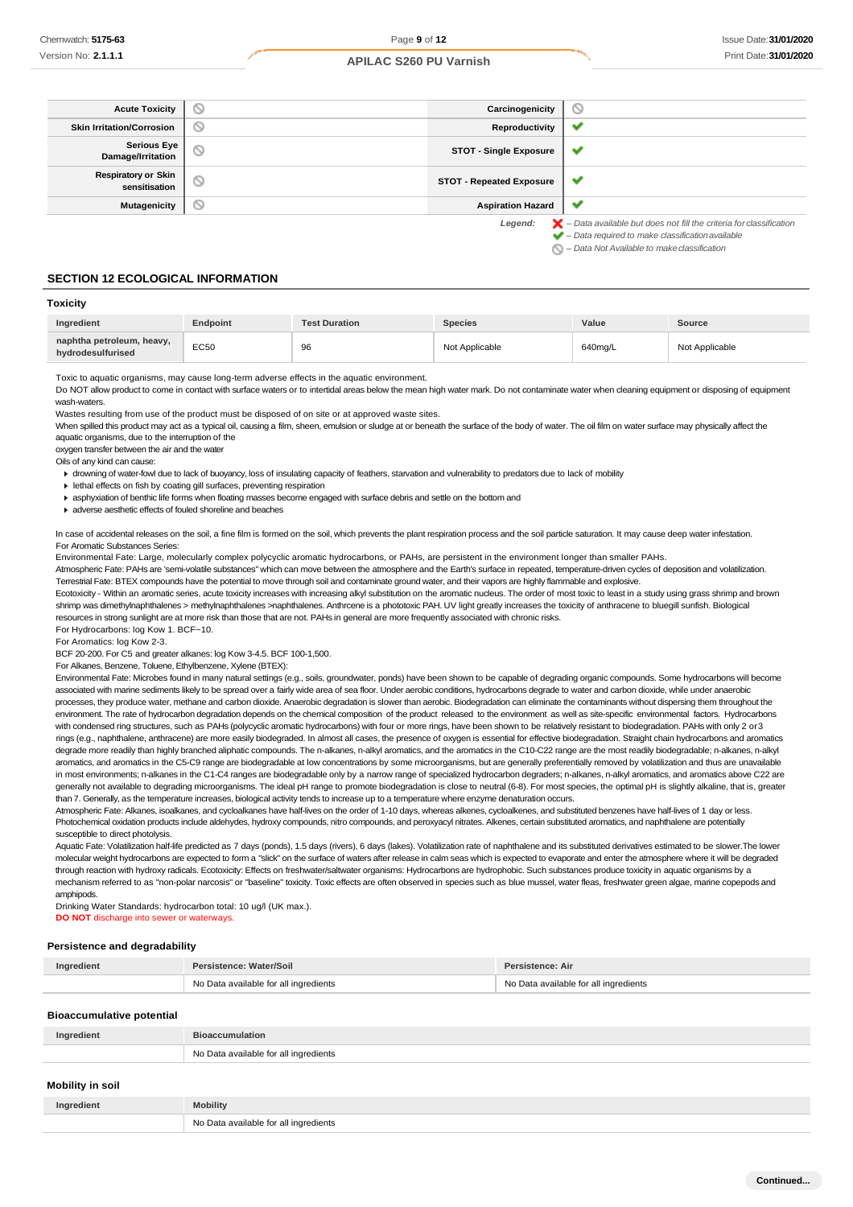| <b>Acute Toxicity</b>                       | D       | Carcinogenicity                 | ∾                                                                                                                                                                                                                            |
|---------------------------------------------|---------|---------------------------------|------------------------------------------------------------------------------------------------------------------------------------------------------------------------------------------------------------------------------|
| <b>Skin Irritation/Corrosion</b>            | $\circ$ | Reproductivity                  | ✔                                                                                                                                                                                                                            |
| <b>Serious Eye</b><br>Damage/Irritation     | N       | <b>STOT - Single Exposure</b>   | $\checkmark$                                                                                                                                                                                                                 |
| <b>Respiratory or Skin</b><br>sensitisation | D       | <b>STOT - Repeated Exposure</b> | $\checkmark$                                                                                                                                                                                                                 |
| <b>Mutagenicity</b>                         | ◡       | <b>Aspiration Hazard</b>        | v                                                                                                                                                                                                                            |
|                                             |         | Legend:                         | $\blacktriangleright$ - Data available but does not fill the criteria for classification<br>$\blacktriangleright$ - Data required to make classification available<br>$\bigcirc$ – Data Not Available to make classification |

#### **SECTION 12 ECOLOGICAL INFORMATION**

#### **Toxicity**

| Ingredient                                     | <b>Endpoint</b> | <b>Test Duration</b> | <b>Species</b> | Value   | Source         |
|------------------------------------------------|-----------------|----------------------|----------------|---------|----------------|
| naphtha petroleum, heavy,<br>hvdrodesulfurised | <b>EC50</b>     | 96                   | Not Applicable | 640ma/L | Not Applicable |

#### Toxic to aquatic organisms, may cause long-term adverse effects in the aquatic environment.

Do NOT allow product to come in contact with surface waters or to intertidal areas below the mean high water mark. Do not contaminate water when cleaning equipment or disposing of equipment wash-waters

Wastes resulting from use of the product must be disposed of on site or at approved waste sites.

When spilled this product may act as a typical oil, causing a film, sheen, emulsion or sludge at or beneath the surface of the body of water. The oil film on water surface may physically affect the aquatic organisms, due to the interruption of the

oxygen transfer between the air and the water

Oils of any kind can cause:

drowning of water-fowl due to lack of buoyancy, loss of insulating capacity of feathers, starvation and vulnerability to predators due to lack of mobility

lethal effects on fish by coating gill surfaces, preventing respiration

asphyxiation of benthic life forms when floating masses become engaged with surface debris and settle on the bottom and

adverse aesthetic effects of fouled shoreline and beaches

In case of accidental releases on the soil, a fine film is formed on the soil, which prevents the plant respiration process and the soil particle saturation. It may cause deep water infestation. For Aromatic Substances Series:

Environmental Fate: Large, molecularly complex polycyclic aromatic hydrocarbons, or PAHs, are persistent in the environment longer than smaller PAHs.

Atmospheric Fate: PAHs are 'semi-volatile substances" which can move between the atmosphere and the Earth's surface in repeated, temperature-driven cycles of deposition and volatilization. Terrestrial Fate: BTEX compounds have the potential to move through soil and contaminate ground water, and their vapors are highly flammable and explosive.

Ecotoxicity - Within an aromatic series, acute toxicity increases with increasing alkyl substitution on the aromatic nucleus. The order of most toxic to least in a study using grass shrimp and brown shrimp was dimethylnaphthalenes > methylnaphthalenes >naphthalenes. Anthrcene is a phototoxic PAH. UV light greatly increases the toxicity of anthracene to bluegill sunfish. Biological resources in strong sunlight are at more risk than those that are not. PAHs in general are more frequently associated with chronic risks.

For Hydrocarbons: log Kow 1. BCF~10.

For Aromatics: log Kow 2-3.

BCF 20-200. For C5 and greater alkanes: log Kow 3-4.5. BCF 100-1,500.

For Alkanes, Benzene, Toluene, Ethylbenzene, Xylene (BTEX):

Environmental Fate: Microbes found in many natural settings (e.g., soils, groundwater, ponds) have been shown to be capable of degrading organic compounds. Some hydrocarbons will become associated with marine sediments likely to be spread over a fairly wide area of sea floor. Under aerobic conditions, hydrocarbons degrade to water and carbon dioxide, while under anaerobic processes, they produce water, methane and carbon dioxide. Anaerobic degradation is slower than aerobic. Biodegradation can eliminate the contaminants without dispersing them throughout the environment. The rate of hydrocarbon degradation depends on the chemical composition of the product released to the environment as well as site-specific environmental factors. Hydrocarbons with condensed ring structures, such as PAHs (polycyclic aromatic hydrocarbons) with four or more rings, have been shown to be relatively resistant to biodegradation. PAHs with only 2 or 3 rings (e.g., naphthalene, anthracene) are more easily biodegraded. In almost all cases, the presence of oxygen is essential for effective biodegradation. Straight chain hydrocarbons and aromatics degrade more readily than highly branched aliphatic compounds. The n-alkanes, n-alkyl aromatics, and the aromatics in the C10-C22 range are the most readily biodegradable; n-alkanes, n-alkyl aromatics, and aromatics in the C5-C9 range are biodegradable at low concentrations by some microorganisms, but are generally preferentially removed by volatilization and thus are unavailable in most environments; n-alkanes in the C1-C4 ranges are biodegradable only by a narrow range of specialized hydrocarbon degraders; n-alkanes, n-alkyl aromatics, and aromatics above C22 are generally not available to degrading microorganisms. The ideal pH range to promote biodegradation is close to neutral (6-8). For most species, the optimal pH is slightly alkaline, that is, greater than 7. Generally, as the temperature increases, biological activity tends to increase up to a temperature where enzyme denaturation occurs.

Atmospheric Fate: Alkanes, isoalkanes, and cycloalkanes have half-lives on the order of 1-10 days, whereas alkenes, cycloalkenes, and substituted benzenes have half-lives of 1 day or less. Photochemical oxidation products include aldehydes, hydroxy compounds, nitro compounds, and peroxyacyl nitrates. Alkenes, certain substituted aromatics, and naphthalene are potentially susceptible to direct photolysis.

Aquatic Fate: Volatilization half-life predicted as 7 days (ponds), 1.5 days (rivers), 6 days (lakes). Volatilization rate of naphthalene and its substituted derivatives estimated to be slower. The lower molecular weight hydrocarbons are expected to form a "slick" on the surface of waters after release in calm seas which is expected to evaporate and enter the atmosphere where it will be degraded through reaction with hydroxy radicals. Ecotoxicity: Effects on freshwater/saltwater organisms: Hydrocarbons are hydrophobic. Such substances produce toxicity in aquatic organisms by a mechanism referred to as "non-polar narcosis" or "baseline" toxicity. Toxic effects are often observed in species such as blue mussel, water fleas, freshwater green algae, marine copepods and amphipods.

Drinking Water Standards: hydrocarbon total: 10 ug/l (UK max.). **DO NOT** discharge into sewer or waterways.

#### **Persistence and degradability**

| Ingredient | Persistence: Water/Soil               | Persistence: Air                      |  |
|------------|---------------------------------------|---------------------------------------|--|
|            | No Data available for all ingredients | No Data available for all ingredients |  |

**Bioaccumulative potential**

| Ingredient       | <b>Bioaccumulation</b>                |
|------------------|---------------------------------------|
|                  | No Data available for all ingredients |
| Mahility in aail |                                       |

### **Mobility in soil**

| Ingredient | <b>Mobility</b>                        |
|------------|----------------------------------------|
|            | N∩<br>l inaredients<br>$\sim$ overland |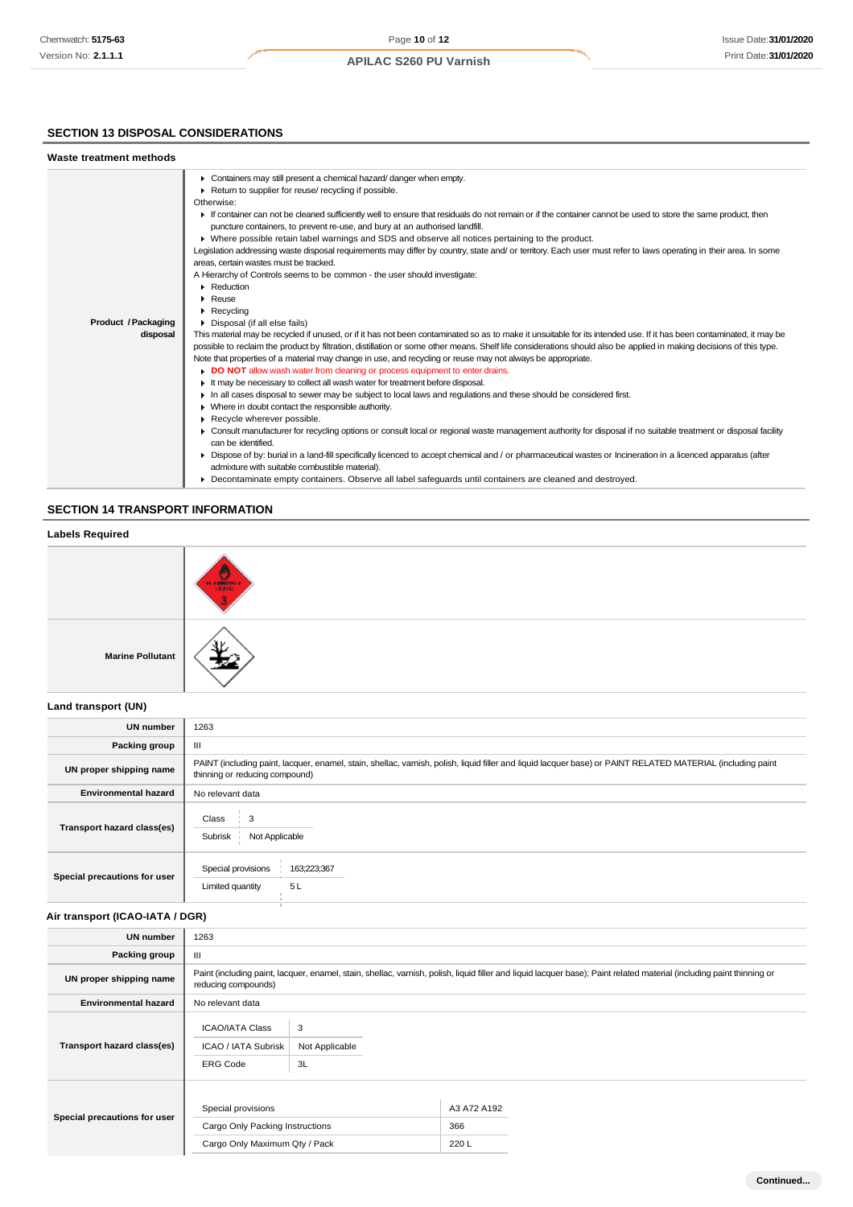# **SECTION 13 DISPOSAL CONSIDERATIONS**

| Waste treatment methods    |                                                                                                                                                                      |
|----------------------------|----------------------------------------------------------------------------------------------------------------------------------------------------------------------|
|                            | Containers may still present a chemical hazard/danger when empty.                                                                                                    |
|                            | Return to supplier for reuse/ recycling if possible.                                                                                                                 |
|                            | Otherwise:                                                                                                                                                           |
|                            | If container can not be cleaned sufficiently well to ensure that residuals do not remain or if the container cannot be used to store the same product, then          |
|                            | puncture containers, to prevent re-use, and bury at an authorised landfill.                                                                                          |
|                            | • Where possible retain label warnings and SDS and observe all notices pertaining to the product.                                                                    |
|                            | Legislation addressing waste disposal requirements may differ by country, state and/ or territory. Each user must refer to laws operating in their area. In some     |
|                            | areas, certain wastes must be tracked.                                                                                                                               |
|                            | A Hierarchy of Controls seems to be common - the user should investigate:                                                                                            |
|                            | • Reduction                                                                                                                                                          |
|                            | Reuse                                                                                                                                                                |
|                            | $\blacktriangleright$ Recycling                                                                                                                                      |
| <b>Product / Packaging</b> | • Disposal (if all else fails)                                                                                                                                       |
| disposal                   | This material may be recycled if unused, or if it has not been contaminated so as to make it unsuitable for its intended use. If it has been contaminated, it may be |
|                            | possible to reclaim the product by filtration, distillation or some other means. Shelf life considerations should also be applied in making decisions of this type.  |
|                            | Note that properties of a material may change in use, and recycling or reuse may not always be appropriate.                                                          |
|                            | DO NOT allow wash water from cleaning or process equipment to enter drains.                                                                                          |
|                            | It may be necessary to collect all wash water for treatment before disposal.                                                                                         |
|                            | In all cases disposal to sewer may be subject to local laws and regulations and these should be considered first.                                                    |
|                            | • Where in doubt contact the responsible authority.                                                                                                                  |
|                            | Recycle wherever possible.                                                                                                                                           |
|                            | Consult manufacturer for recycling options or consult local or regional waste management authority for disposal if no suitable treatment or disposal facility        |
|                            | can be identified.                                                                                                                                                   |
|                            | ► Dispose of by: burial in a land-fill specifically licenced to accept chemical and / or pharmaceutical wastes or Incineration in a licenced apparatus (after        |
|                            | admixture with suitable combustible material).                                                                                                                       |
|                            | • Decontaminate empty containers. Observe all label safeguards until containers are cleaned and destroyed.                                                           |

# **SECTION 14 TRANSPORT INFORMATION**

# **Labels Required Marine Pollutant**

#### **Land transport (UN)**

| <b>UN number</b>             | 1263                                                                                                                                                                                          |
|------------------------------|-----------------------------------------------------------------------------------------------------------------------------------------------------------------------------------------------|
| Packing group                | Ш                                                                                                                                                                                             |
| UN proper shipping name      | PAINT (including paint, lacquer, enamel, stain, shellac, varnish, polish, liquid filler and liquid lacquer base) or PAINT RELATED MATERIAL (including paint<br>thinning or reducing compound) |
| <b>Environmental hazard</b>  | No relevant data                                                                                                                                                                              |
| Transport hazard class(es)   | 3<br>Class<br>Subrisk<br>Not Applicable                                                                                                                                                       |
| Special precautions for user | Special provisions<br>163;223;367<br>5 L<br>Limited quantity                                                                                                                                  |

# **Air transport (ICAO-IATA / DGR)**

| <b>UN number</b>             | 1263                                                                                   |                                                                                                                                                                       |                            |  |
|------------------------------|----------------------------------------------------------------------------------------|-----------------------------------------------------------------------------------------------------------------------------------------------------------------------|----------------------------|--|
| Packing group                | Ш                                                                                      |                                                                                                                                                                       |                            |  |
| UN proper shipping name      | reducing compounds)                                                                    | Paint (including paint, lacquer, enamel, stain, shellac, varnish, polish, liquid filler and liquid lacquer base); Paint related material (including paint thinning or |                            |  |
| <b>Environmental hazard</b>  | No relevant data                                                                       |                                                                                                                                                                       |                            |  |
| Transport hazard class(es)   | <b>ICAO/IATA Class</b><br>ICAO / IATA Subrisk<br><b>ERG Code</b>                       | 3<br>Not Applicable<br>3L                                                                                                                                             |                            |  |
| Special precautions for user | Special provisions<br>Cargo Only Packing Instructions<br>Cargo Only Maximum Qty / Pack |                                                                                                                                                                       | A3 A72 A192<br>366<br>220L |  |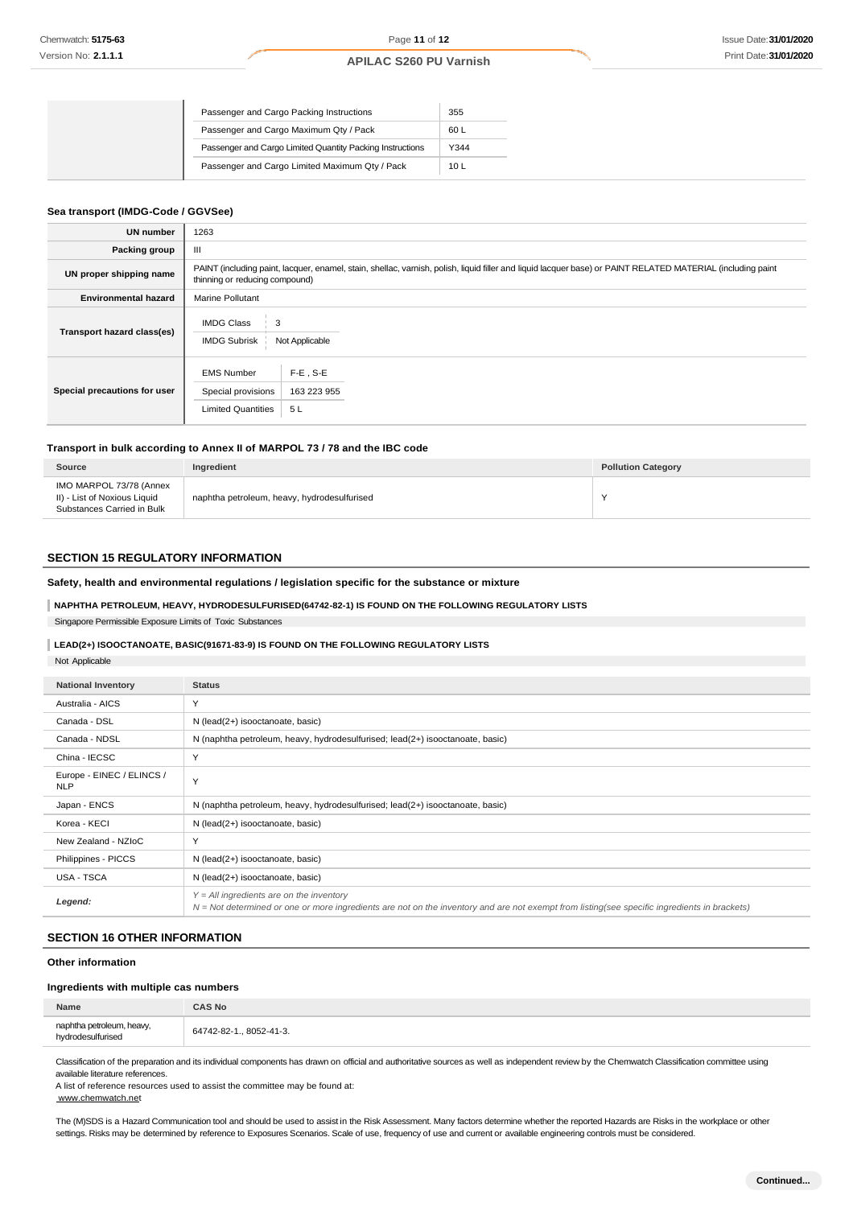|  | Passenger and Cargo Packing Instructions                  | 355             |
|--|-----------------------------------------------------------|-----------------|
|  | Passenger and Cargo Maximum Qty / Pack                    | 60 L            |
|  | Passenger and Cargo Limited Quantity Packing Instructions | Y344            |
|  | Passenger and Cargo Limited Maximum Qty / Pack            | 10 <sub>L</sub> |

#### **Sea transport (IMDG-Code / GGVSee)**

| <b>UN number</b>             | 1263                                                                                                                                                                                          |  |  |  |
|------------------------------|-----------------------------------------------------------------------------------------------------------------------------------------------------------------------------------------------|--|--|--|
| Packing group                | Ш                                                                                                                                                                                             |  |  |  |
| UN proper shipping name      | PAINT (including paint, lacquer, enamel, stain, shellac, varnish, polish, liquid filler and liquid lacquer base) or PAINT RELATED MATERIAL (including paint<br>thinning or reducing compound) |  |  |  |
| <b>Environmental hazard</b>  | Marine Pollutant                                                                                                                                                                              |  |  |  |
| Transport hazard class(es)   | <b>IMDG Class</b><br>3<br><b>IMDG Subrisk</b><br>Not Applicable                                                                                                                               |  |  |  |
| Special precautions for user | $F-E$ , S-E<br><b>EMS Number</b><br>163 223 955<br>Special provisions<br><b>Limited Quantities</b><br>5L                                                                                      |  |  |  |

#### **Transport in bulk according to Annex II of MARPOL 73 / 78 and the IBC code**

| Source                                                                                | Ingredient                                  | <b>Pollution Category</b> |
|---------------------------------------------------------------------------------------|---------------------------------------------|---------------------------|
| IMO MARPOL 73/78 (Annex<br>II) - List of Noxious Liquid<br>Substances Carried in Bulk | naphtha petroleum, heavy, hydrodesulfurised |                           |

#### **SECTION 15 REGULATORY INFORMATION**

#### **Safety, health and environmental regulations / legislation specific for the substance or mixture**

# **NAPHTHA PETROLEUM, HEAVY, HYDRODESULFURISED(64742-82-1) IS FOUND ON THE FOLLOWING REGULATORY LISTS** Singapore Permissible Exposure Limits of Toxic Substances

# **LEAD(2+) ISOOCTANOATE, BASIC(91671-83-9) IS FOUND ON THE FOLLOWING REGULATORY LISTS**

#### Not Applicable

| <b>National Inventory</b>               | <b>Status</b>                                                                                                                                                                                |
|-----------------------------------------|----------------------------------------------------------------------------------------------------------------------------------------------------------------------------------------------|
| Australia - AICS                        | Y                                                                                                                                                                                            |
| Canada - DSL                            | N (lead(2+) isooctanoate, basic)                                                                                                                                                             |
| Canada - NDSL                           | N (naphtha petroleum, heavy, hydrodesulfurised; lead(2+) isooctanoate, basic)                                                                                                                |
| China - IECSC                           | Y                                                                                                                                                                                            |
| Europe - EINEC / ELINCS /<br><b>NLP</b> | Y                                                                                                                                                                                            |
| Japan - ENCS                            | N (naphtha petroleum, heavy, hydrodesulfurised; lead(2+) isooctanoate, basic)                                                                                                                |
| Korea - KECI                            | N (lead(2+) isooctanoate, basic)                                                                                                                                                             |
| New Zealand - NZIoC                     | Υ                                                                                                                                                                                            |
| Philippines - PICCS                     | N (lead(2+) isooctanoate, basic)                                                                                                                                                             |
| <b>USA - TSCA</b>                       | N (lead(2+) isooctanoate, basic)                                                                                                                                                             |
| Legend:                                 | $Y = All$ ingredients are on the inventory<br>$N = Not$ determined or one or more ingredients are not on the inventory and are not exempt from listing(see specific ingredients in brackets) |

## **SECTION 16 OTHER INFORMATION**

#### **Other information**

# **Ingredients with multiple cas numbers**

| Name                                           | CAS No                  |
|------------------------------------------------|-------------------------|
| naphtha petroleum, heavy,<br>hydrodesulfurised | 64742-82-1., 8052-41-3. |
|                                                |                         |

Classification of the preparation and its individual components has drawn on official and authoritative sources as well as independent review by the Chemwatch Classification committee using available literature references.

A list of reference resources used to assist the committee may be found at:

[www.chemwatch.net](http://www.chemwatch.net/)

The (M)SDS is a Hazard Communication tool and should be used to assist in the Risk Assessment. Many factors determine whether the reported Hazards are Risks in the workplace or other settings. Risks may be determined by reference to Exposures Scenarios. Scale of use, frequency of use and current or available engineering controls must be considered.